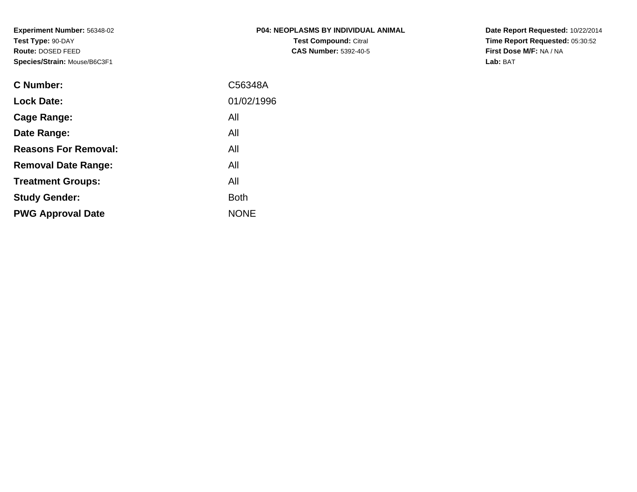**Experiment Number:** 56348-02**Test Type:** 90-DAY **Route:** DOSED FEED**Species/Strain:** Mouse/B6C3F1

| P04: NEOPLASMS BY INDIVIDUAL ANIMAL |
|-------------------------------------|
| <b>Test Compound: Citral</b>        |
| <b>CAS Number: 5392-40-5</b>        |

**Date Report Requested:** 10/22/2014 **Time Report Requested:** 05:30:52**First Dose M/F:** NA / NA**Lab:** BAT

| <b>C</b> Number:            | C56348A     |
|-----------------------------|-------------|
| <b>Lock Date:</b>           | 01/02/1996  |
| Cage Range:                 | All         |
| Date Range:                 | All         |
| <b>Reasons For Removal:</b> | All         |
| <b>Removal Date Range:</b>  | All         |
| <b>Treatment Groups:</b>    | All         |
| <b>Study Gender:</b>        | <b>Both</b> |
| <b>PWG Approval Date</b>    | <b>NONE</b> |
|                             |             |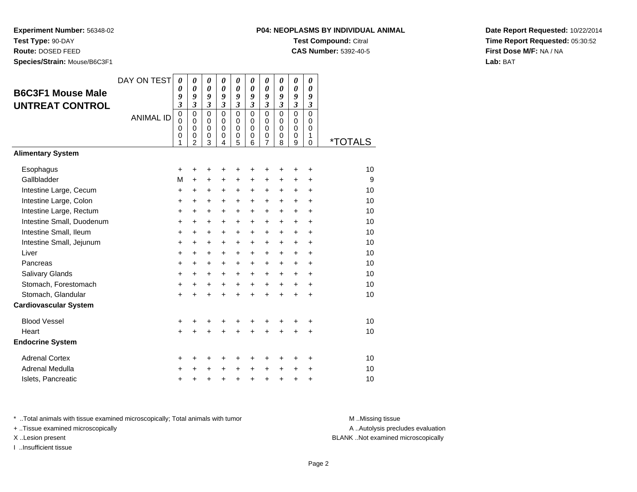**Experiment Number:** 56348-02**Test Type:** 90-DAY

**Route:** DOSED FEED

**Species/Strain:** Mouse/B6C3F1

## **P04: NEOPLASMS BY INDIVIDUAL ANIMALTest Compound:** Citral

**CAS Number:** 5392-40-5

**Date Report Requested:** 10/22/2014**Time Report Requested:** 05:30:52**First Dose M/F:** NA / NA**Lab:** BAT

| <b>B6C3F1 Mouse Male</b><br><b>UNTREAT CONTROL</b> | DAY ON TEST      | $\boldsymbol{\theta}$<br>0<br>9<br>3<br>$\mathbf 0$ | 0<br>$\boldsymbol{\theta}$<br>9<br>$\mathfrak{z}$<br>$\mathbf 0$ | 0<br>0<br>9<br>$\mathfrak{z}$<br>$\mathbf 0$ | 0<br>$\boldsymbol{\theta}$<br>9<br>$\mathfrak{z}$<br>$\mathbf 0$ | 0<br>$\boldsymbol{\theta}$<br>9<br>$\boldsymbol{\beta}$<br>$\mathbf 0$ | 0<br>$\boldsymbol{\theta}$<br>9<br>$\mathfrak{z}$<br>$\Omega$ | 0<br>0<br>9<br>$\mathfrak{z}$<br>$\mathbf 0$           | 0<br>0<br>9<br>$\mathfrak{z}$<br>$\Omega$ | $\boldsymbol{\theta}$<br>$\boldsymbol{\theta}$<br>9<br>$\mathfrak{z}$<br>$\mathbf 0$ | 0<br>0<br>9<br>$\mathfrak{z}$<br>$\mathbf 0$ |                       |
|----------------------------------------------------|------------------|-----------------------------------------------------|------------------------------------------------------------------|----------------------------------------------|------------------------------------------------------------------|------------------------------------------------------------------------|---------------------------------------------------------------|--------------------------------------------------------|-------------------------------------------|--------------------------------------------------------------------------------------|----------------------------------------------|-----------------------|
|                                                    | <b>ANIMAL ID</b> | $\mathbf 0$<br>0<br>$\mathbf 0$<br>1                | $\mathbf 0$<br>$\mathbf 0$<br>0<br>$\overline{2}$                | $\mathbf 0$<br>0<br>$\mathbf 0$<br>3         | $\Omega$<br>$\mathbf 0$<br>$\mathbf 0$<br>4                      | $\mathbf 0$<br>$\mathbf 0$<br>$\mathbf 0$<br>5                         | $\Omega$<br>$\mathbf 0$<br>$\mathbf 0$<br>6                   | $\mathbf 0$<br>0<br>$\boldsymbol{0}$<br>$\overline{7}$ | $\Omega$<br>0<br>0<br>8                   | $\Omega$<br>0<br>$\pmb{0}$<br>9                                                      | $\Omega$<br>0<br>1<br>0                      | <i><b>*TOTALS</b></i> |
| <b>Alimentary System</b>                           |                  |                                                     |                                                                  |                                              |                                                                  |                                                                        |                                                               |                                                        |                                           |                                                                                      |                                              |                       |
| Esophagus                                          |                  | +                                                   | +                                                                | +                                            | +                                                                | +                                                                      | +                                                             | +                                                      | +                                         | +                                                                                    | $\ddot{}$                                    | 10                    |
| Gallbladder                                        |                  | M                                                   | $\ddot{}$                                                        | $\ddot{}$                                    | $\ddot{}$                                                        | $\ddot{}$                                                              | +                                                             | $\ddot{}$                                              | +                                         | +                                                                                    | $\ddot{}$                                    | 9                     |
| Intestine Large, Cecum                             |                  | +                                                   | +                                                                | +                                            | +                                                                | +                                                                      | +                                                             | +                                                      | +                                         | +                                                                                    | $\ddot{}$                                    | 10                    |
| Intestine Large, Colon                             |                  | +                                                   | $\pm$                                                            | $\ddot{}$                                    | $\ddot{}$                                                        | $\ddot{}$                                                              | $\ddot{}$                                                     | $\ddot{}$                                              | +                                         | $\ddot{}$                                                                            | $\ddot{}$                                    | 10                    |
| Intestine Large, Rectum                            |                  | $\ddot{}$                                           | $\ddot{}$                                                        | $\ddot{}$                                    | $\ddot{}$                                                        | $\ddot{}$                                                              | $\ddot{}$                                                     | $\ddot{}$                                              | $\ddot{}$                                 | $\ddot{}$                                                                            | $\ddot{}$                                    | 10                    |
| Intestine Small, Duodenum                          |                  | $\ddot{}$                                           | +                                                                | $\ddot{}$                                    | $\ddot{}$                                                        | $\ddot{}$                                                              | +                                                             | +                                                      | $\ddot{}$                                 | $\ddot{}$                                                                            | $\ddot{}$                                    | 10                    |
| Intestine Small, Ileum                             |                  | +                                                   | $\ddot{}$                                                        | $\ddot{}$                                    | $\ddot{}$                                                        | $\ddot{}$                                                              | $\ddot{}$                                                     | $\ddot{}$                                              | +                                         | $\ddot{}$                                                                            | $+$                                          | 10                    |
| Intestine Small, Jejunum                           |                  | +                                                   | $\pm$                                                            | +                                            | +                                                                | +                                                                      | $\ddot{}$                                                     | $\ddot{}$                                              | +                                         | $\ddot{}$                                                                            | $\ddot{}$                                    | 10                    |
| Liver                                              |                  | +                                                   | $\ddot{}$                                                        | $\ddot{}$                                    | $\ddot{}$                                                        | $\ddot{}$                                                              | $\ddot{}$                                                     | $\ddot{}$                                              | $\ddot{}$                                 | $\ddot{}$                                                                            | $+$                                          | 10                    |
| Pancreas                                           |                  | +                                                   | +                                                                | $\ddot{}$                                    | $\ddot{}$                                                        | $\ddot{}$                                                              | $\ddot{}$                                                     | +                                                      | $\ddot{}$                                 | $\ddot{}$                                                                            | $\ddot{}$                                    | 10                    |
| Salivary Glands                                    |                  | +                                                   | $\ddot{}$                                                        | $\ddot{}$                                    | $\ddot{}$                                                        | $\ddot{}$                                                              | $\ddot{}$                                                     | $\ddot{}$                                              | +                                         | $\ddot{}$                                                                            | $\ddot{}$                                    | 10                    |
| Stomach, Forestomach                               |                  | +                                                   | $\pm$                                                            | +                                            | $\ddot{}$                                                        | +                                                                      | $\ddot{}$                                                     | $\ddot{}$                                              | $\ddot{}$                                 | $\ddot{}$                                                                            | $\ddot{}$                                    | 10                    |
| Stomach, Glandular<br><b>Cardiovascular System</b> |                  | $\ddot{}$                                           | $\ddot{}$                                                        | $\ddot{}$                                    | $\ddot{}$                                                        | $\ddot{}$                                                              |                                                               | $\ddot{}$                                              | $\ddot{}$                                 | $\ddot{}$                                                                            | $\ddot{}$                                    | 10                    |
| <b>Blood Vessel</b>                                |                  | +                                                   | +                                                                | +                                            | +                                                                | +                                                                      | +                                                             | +                                                      | +                                         | +                                                                                    | +                                            | 10                    |
| Heart                                              |                  | $\ddot{}$                                           |                                                                  |                                              |                                                                  |                                                                        |                                                               | Ŧ.                                                     |                                           | +                                                                                    | $\ddot{}$                                    | 10                    |
| <b>Endocrine System</b>                            |                  |                                                     |                                                                  |                                              |                                                                  |                                                                        |                                                               |                                                        |                                           |                                                                                      |                                              |                       |
| <b>Adrenal Cortex</b>                              |                  | +                                                   | +                                                                | +                                            | +                                                                | +                                                                      | ٠                                                             | +                                                      | +                                         | +                                                                                    | $\ddot{}$                                    | 10                    |
| Adrenal Medulla                                    |                  | +                                                   | +                                                                | +                                            | $\ddot{}$                                                        | $\ddot{}$                                                              | $\ddot{}$                                                     | +                                                      | $\ddot{}$                                 | $\ddot{}$                                                                            | $\ddot{}$                                    | 10                    |
| Islets, Pancreatic                                 |                  | +                                                   | +                                                                | +                                            | +                                                                | $\ddot{}$                                                              | $\ddot{}$                                                     | +                                                      | $\ddot{}$                                 | +                                                                                    | +                                            | 10                    |

\* ..Total animals with tissue examined microscopically; Total animals with tumor **M** . Missing tissue M ..Missing tissue

+ ..Tissue examined microscopically

I ..Insufficient tissue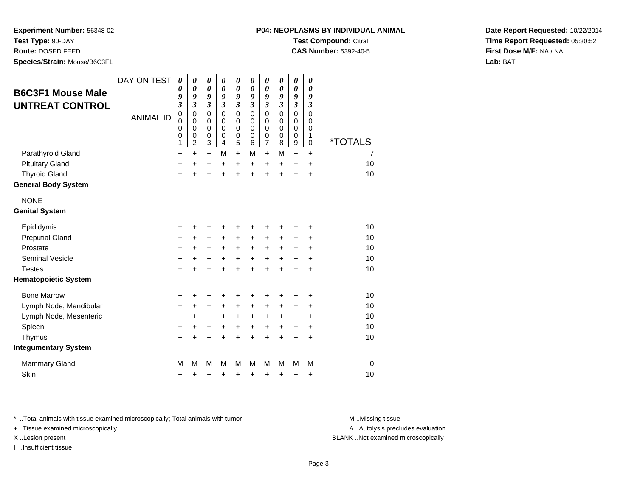**Test Type:** 90-DAY

**Route:** DOSED FEED

**Species/Strain:** Mouse/B6C3F1

| P04: NEOPLASMS BY INDIVIDUAL ANIMAL |
|-------------------------------------|
| <b>Test Compound: Citral</b>        |

**CAS Number:** 5392-40-5

**Date Report Requested:** 10/22/2014**Time Report Requested:** 05:30:52**First Dose M/F:** NA / NA**Lab:** BAT

| <b>B6C3F1 Mouse Male</b><br><b>UNTREAT CONTROL</b> | DAY ON TEST<br><b>ANIMAL ID</b> | 0<br>0<br>9<br>$\overline{\mathbf{3}}$<br>$\mathbf 0$<br>0<br>0<br>0<br>1 | 0<br>0<br>9<br>$\overline{\mathbf{3}}$<br>$\mathbf 0$<br>$\mathbf 0$<br>$\mathbf 0$<br>0<br>$\overline{2}$ | 0<br>$\boldsymbol{\theta}$<br>9<br>$\mathfrak{z}$<br>$\mathbf 0$<br>$\mathbf 0$<br>$\mathbf 0$<br>$\pmb{0}$<br>3 | 0<br>$\boldsymbol{\theta}$<br>9<br>$\mathfrak{z}$<br>$\mathbf 0$<br>$\mathbf 0$<br>$\mathbf 0$<br>0<br>4 | 0<br>$\boldsymbol{\theta}$<br>9<br>$\overline{\mathbf{3}}$<br>$\mathbf 0$<br>$\mathbf 0$<br>0<br>$\boldsymbol{0}$<br>5 | 0<br>0<br>9<br>$\overline{\mathbf{3}}$<br>0<br>$\mathbf 0$<br>$\Omega$<br>0<br>6 | 0<br>0<br>9<br>$\mathfrak{z}$<br>$\mathbf 0$<br>0<br>$\mathbf 0$<br>0<br>$\overline{7}$ | 0<br>$\boldsymbol{\theta}$<br>9<br>$\mathfrak{z}$<br>$\Omega$<br>$\mathbf 0$<br>$\Omega$<br>0<br>8 | 0<br>0<br>9<br>$\overline{\mathbf{3}}$<br>$\mathbf 0$<br>0<br>0<br>0<br>9 | 0<br>$\boldsymbol{\theta}$<br>9<br>$\boldsymbol{\beta}$<br>$\Omega$<br>$\mathbf 0$<br>$\mathbf 0$<br>1<br>0 | <i><b>*TOTALS</b></i> |
|----------------------------------------------------|---------------------------------|---------------------------------------------------------------------------|------------------------------------------------------------------------------------------------------------|------------------------------------------------------------------------------------------------------------------|----------------------------------------------------------------------------------------------------------|------------------------------------------------------------------------------------------------------------------------|----------------------------------------------------------------------------------|-----------------------------------------------------------------------------------------|----------------------------------------------------------------------------------------------------|---------------------------------------------------------------------------|-------------------------------------------------------------------------------------------------------------|-----------------------|
| Parathyroid Gland                                  |                                 | $\ddot{}$                                                                 | $\ddot{}$                                                                                                  | $\ddot{}$                                                                                                        | M                                                                                                        | $\ddot{}$                                                                                                              | M                                                                                | $\ddot{}$                                                                               | M                                                                                                  | $\ddot{}$                                                                 | $\ddot{}$                                                                                                   | $\overline{7}$        |
| <b>Pituitary Gland</b>                             |                                 | +                                                                         | $\ddot{}$                                                                                                  | +                                                                                                                | +                                                                                                        | $\ddot{}$                                                                                                              | +                                                                                | +                                                                                       | +                                                                                                  | $\ddot{}$                                                                 | +                                                                                                           | 10                    |
| <b>Thyroid Gland</b>                               |                                 | $\ddot{}$                                                                 | ÷                                                                                                          | $\ddot{}$                                                                                                        | ÷                                                                                                        | $\ddot{}$                                                                                                              | ÷                                                                                | $\ddot{}$                                                                               | $\ddot{}$                                                                                          | $\ddot{}$                                                                 | $\ddot{}$                                                                                                   | 10                    |
| <b>General Body System</b>                         |                                 |                                                                           |                                                                                                            |                                                                                                                  |                                                                                                          |                                                                                                                        |                                                                                  |                                                                                         |                                                                                                    |                                                                           |                                                                                                             |                       |
| <b>NONE</b>                                        |                                 |                                                                           |                                                                                                            |                                                                                                                  |                                                                                                          |                                                                                                                        |                                                                                  |                                                                                         |                                                                                                    |                                                                           |                                                                                                             |                       |
| <b>Genital System</b>                              |                                 |                                                                           |                                                                                                            |                                                                                                                  |                                                                                                          |                                                                                                                        |                                                                                  |                                                                                         |                                                                                                    |                                                                           |                                                                                                             |                       |
| Epididymis                                         |                                 | +                                                                         | +                                                                                                          | +                                                                                                                | +                                                                                                        | +                                                                                                                      |                                                                                  | +                                                                                       |                                                                                                    |                                                                           |                                                                                                             | 10                    |
| <b>Preputial Gland</b>                             |                                 | +                                                                         | $\ddot{}$                                                                                                  | +                                                                                                                | $\ddot{}$                                                                                                | $\ddot{}$                                                                                                              | +                                                                                | +                                                                                       | +                                                                                                  |                                                                           | +                                                                                                           | 10                    |
| Prostate                                           |                                 | $\ddot{}$                                                                 | $\ddot{}$                                                                                                  | $\ddot{}$                                                                                                        | $\ddot{}$                                                                                                | $\ddot{}$                                                                                                              | $\ddot{}$                                                                        | $\pm$                                                                                   | +                                                                                                  | +                                                                         |                                                                                                             | 10                    |
| <b>Seminal Vesicle</b>                             |                                 | $\ddot{}$                                                                 | $\ddot{}$                                                                                                  | +                                                                                                                | $\ddot{}$                                                                                                | +                                                                                                                      | +                                                                                | +                                                                                       | +                                                                                                  | +                                                                         | $\ddot{}$                                                                                                   | 10                    |
| <b>Testes</b>                                      |                                 | $\ddot{}$                                                                 | Ŧ.                                                                                                         | $\ddot{}$                                                                                                        | $\ddot{}$                                                                                                | $\ddot{}$                                                                                                              | $\ddot{}$                                                                        | $\ddot{}$                                                                               | $\ddot{}$                                                                                          | $\ddot{}$                                                                 | $\ddot{}$                                                                                                   | 10                    |
| <b>Hematopoietic System</b>                        |                                 |                                                                           |                                                                                                            |                                                                                                                  |                                                                                                          |                                                                                                                        |                                                                                  |                                                                                         |                                                                                                    |                                                                           |                                                                                                             |                       |
| <b>Bone Marrow</b>                                 |                                 | +                                                                         | +                                                                                                          | +                                                                                                                |                                                                                                          | +                                                                                                                      |                                                                                  | +                                                                                       |                                                                                                    |                                                                           |                                                                                                             | 10                    |
| Lymph Node, Mandibular                             |                                 | $\ddot{}$                                                                 | +                                                                                                          | +                                                                                                                | +                                                                                                        | $\pm$                                                                                                                  | $\pm$                                                                            | +                                                                                       | +                                                                                                  | +                                                                         |                                                                                                             | 10                    |
| Lymph Node, Mesenteric                             |                                 | $\ddot{}$                                                                 | +                                                                                                          | +                                                                                                                | $\ddot{}$                                                                                                | $\ddot{}$                                                                                                              | +                                                                                | +                                                                                       | +                                                                                                  | +                                                                         | $\ddot{}$                                                                                                   | 10                    |
| Spleen                                             |                                 | $\ddot{}$                                                                 | +                                                                                                          | $\pm$                                                                                                            | $\ddot{}$                                                                                                | $\ddot{}$                                                                                                              | $\ddot{}$                                                                        | $\ddot{}$                                                                               | $\ddot{}$                                                                                          | +                                                                         | $\ddot{}$                                                                                                   | 10                    |
| Thymus                                             |                                 | $\ddot{}$                                                                 | $\ddot{}$                                                                                                  | $\ddot{}$                                                                                                        | +                                                                                                        | $\ddot{}$                                                                                                              | +                                                                                | +                                                                                       | $\ddot{}$                                                                                          | +                                                                         | $\ddot{}$                                                                                                   | 10                    |
| <b>Integumentary System</b>                        |                                 |                                                                           |                                                                                                            |                                                                                                                  |                                                                                                          |                                                                                                                        |                                                                                  |                                                                                         |                                                                                                    |                                                                           |                                                                                                             |                       |
| <b>Mammary Gland</b>                               |                                 | M                                                                         | М                                                                                                          | M                                                                                                                | M                                                                                                        | M                                                                                                                      | м                                                                                | M                                                                                       | М                                                                                                  | М                                                                         | M                                                                                                           | $\mathbf 0$           |
| Skin                                               |                                 | +                                                                         | +                                                                                                          | +                                                                                                                | +                                                                                                        | +                                                                                                                      | +                                                                                | +                                                                                       | +                                                                                                  | +                                                                         | +                                                                                                           | 10                    |

\* ..Total animals with tissue examined microscopically; Total animals with tumor **M** ..Missing tissue M ..Missing tissue

+ ..Tissue examined microscopically

I ..Insufficient tissue

A ..Autolysis precludes evaluation

X ..Lesion present BLANK ..Not examined microscopically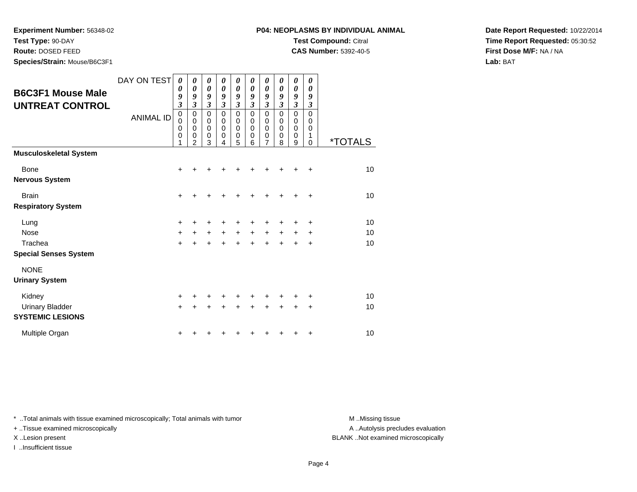**Test Type:** 90-DAY

**Route:** DOSED FEED

**Species/Strain:** Mouse/B6C3F1

**CAS Number:** 5392-40-5

**Date Report Requested:** 10/22/2014**Time Report Requested:** 05:30:52**First Dose M/F:** NA / NA**Lab:** BAT

| <b>B6C3F1 Mouse Male</b><br><b>UNTREAT CONTROL</b>             | DAY ON TEST<br><b>ANIMAL ID</b> | 0<br>0<br>9<br>$\overline{\mathbf{3}}$<br>$\mathbf 0$<br>$\mathbf 0$<br>0<br>0<br>1 | 0<br>$\boldsymbol{\theta}$<br>9<br>$\mathfrak{z}$<br>$\mathbf 0$<br>$\mathbf 0$<br>$\mathbf 0$<br>$\mathbf 0$<br>$\overline{2}$ | 0<br>0<br>9<br>$\boldsymbol{\beta}$<br>$\mathbf 0$<br>0<br>$\mathbf 0$<br>$\mathbf 0$<br>3 | 0<br>0<br>9<br>$\mathfrak{z}$<br>$\mathbf 0$<br>0<br>$\mathbf 0$<br>0<br>4 | 0<br>0<br>9<br>$\mathfrak{z}$<br>$\pmb{0}$<br>0<br>$\pmb{0}$<br>$\pmb{0}$<br>5 | 0<br>0<br>9<br>$\overline{\mathbf{3}}$<br>$\mathbf 0$<br>0<br>0<br>0<br>6 | 0<br>0<br>9<br>$\mathfrak{z}$<br>$\mathbf 0$<br>0<br>0<br>0<br>$\overline{7}$ | 0<br>0<br>9<br>3<br>$\Omega$<br>0<br>$\Omega$<br>0<br>8 | 0<br>0<br>9<br>$\mathfrak{z}$<br>$\pmb{0}$<br>0<br>$\pmb{0}$<br>0<br>9 | 0<br>0<br>9<br>3<br>$\mathbf 0$<br>0<br>0<br>1<br>$\Omega$ | <i><b>*TOTALS</b></i> |
|----------------------------------------------------------------|---------------------------------|-------------------------------------------------------------------------------------|---------------------------------------------------------------------------------------------------------------------------------|--------------------------------------------------------------------------------------------|----------------------------------------------------------------------------|--------------------------------------------------------------------------------|---------------------------------------------------------------------------|-------------------------------------------------------------------------------|---------------------------------------------------------|------------------------------------------------------------------------|------------------------------------------------------------|-----------------------|
| <b>Musculoskeletal System</b>                                  |                                 |                                                                                     |                                                                                                                                 |                                                                                            |                                                                            |                                                                                |                                                                           |                                                                               |                                                         |                                                                        |                                                            |                       |
| Bone<br><b>Nervous System</b>                                  |                                 | +                                                                                   |                                                                                                                                 |                                                                                            |                                                                            |                                                                                |                                                                           |                                                                               |                                                         |                                                                        | ÷                                                          | 10                    |
| <b>Brain</b><br><b>Respiratory System</b>                      |                                 | $\ddot{}$                                                                           | +                                                                                                                               |                                                                                            |                                                                            |                                                                                |                                                                           | +                                                                             | +                                                       |                                                                        | $\ddot{}$                                                  | 10                    |
| Lung<br><b>Nose</b><br>Trachea<br><b>Special Senses System</b> |                                 | +<br>$\ddot{}$<br>$\ddot{}$                                                         | $\ddot{}$                                                                                                                       | $\ddot{}$                                                                                  | $\ddot{}$                                                                  | $+$<br>$\ddot{}$                                                               | $\ddot{}$                                                                 | +<br>+<br>$\ddot{}$                                                           | $\ddot{}$<br>÷                                          | $\pm$                                                                  | +<br>+<br>÷                                                | 10<br>10<br>10        |
| <b>NONE</b><br><b>Urinary System</b>                           |                                 |                                                                                     |                                                                                                                                 |                                                                                            |                                                                            |                                                                                |                                                                           |                                                                               |                                                         |                                                                        |                                                            |                       |
| Kidney<br><b>Urinary Bladder</b><br><b>SYSTEMIC LESIONS</b>    |                                 | $\ddot{}$<br>$\ddot{}$                                                              |                                                                                                                                 |                                                                                            |                                                                            |                                                                                |                                                                           | +                                                                             | +                                                       | +                                                                      | ٠<br>+                                                     | 10<br>10              |
| Multiple Organ                                                 |                                 | +                                                                                   |                                                                                                                                 |                                                                                            |                                                                            |                                                                                |                                                                           |                                                                               |                                                         |                                                                        | ٠                                                          | 10                    |

\* ..Total animals with tissue examined microscopically; Total animals with tumor **M** . Missing tissue M ..Missing tissue

+ ..Tissue examined microscopically

I ..Insufficient tissue

A ..Autolysis precludes evaluation

X ..Lesion present BLANK ..Not examined microscopically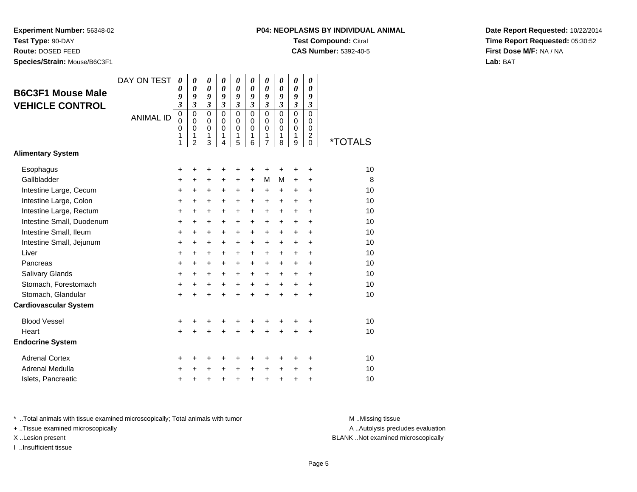**Experiment Number:** 56348-02**Test Type:** 90-DAY

**Route:** DOSED FEED

**Species/Strain:** Mouse/B6C3F1

## **P04: NEOPLASMS BY INDIVIDUAL ANIMALTest Compound:** Citral

**CAS Number:** 5392-40-5

**Date Report Requested:** 10/22/2014**Time Report Requested:** 05:30:52**First Dose M/F:** NA / NA**Lab:** BAT

| <b>B6C3F1 Mouse Male</b><br><b>VEHICLE CONTROL</b> | DAY ON TEST<br><b>ANIMAL ID</b> | $\boldsymbol{\theta}$<br>0<br>9<br>3<br>$\mathbf 0$<br>0<br>0<br>1<br>1 | $\boldsymbol{\theta}$<br>$\boldsymbol{\theta}$<br>9<br>$\mathfrak{z}$<br>$\mathbf 0$<br>$\mathbf 0$<br>$\mathbf 0$<br>1<br>$\overline{2}$ | 0<br>$\boldsymbol{\theta}$<br>9<br>$\mathfrak{z}$<br>$\mathbf 0$<br>$\mathbf 0$<br>$\mathbf 0$<br>1<br>3 | 0<br>$\boldsymbol{\theta}$<br>9<br>$\mathfrak{z}$<br>$\mathbf 0$<br>$\mathbf 0$<br>$\mathbf 0$<br>1<br>$\overline{4}$ | 0<br>0<br>9<br>$\mathfrak{z}$<br>$\mathbf 0$<br>$\mathbf 0$<br>0<br>1<br>5 | 0<br>$\boldsymbol{\theta}$<br>9<br>$\mathfrak{z}$<br>$\Omega$<br>$\mathbf 0$<br>0<br>1<br>6 | 0<br>$\boldsymbol{\theta}$<br>9<br>$\mathfrak{z}$<br>$\mathbf 0$<br>$\mathbf 0$<br>0<br>1<br>$\overline{7}$ | 0<br>$\boldsymbol{\theta}$<br>9<br>$\mathfrak{z}$<br>$\mathbf 0$<br>$\mathbf 0$<br>0<br>1<br>8 | 0<br>$\boldsymbol{\theta}$<br>9<br>$\mathfrak{z}$<br>$\mathbf 0$<br>$\mathbf 0$<br>0<br>1<br>9 | 0<br>$\boldsymbol{\theta}$<br>9<br>$\mathfrak{z}$<br>$\mathbf 0$<br>$\mathbf 0$<br>0<br>2<br>$\Omega$ | *TOTALS |
|----------------------------------------------------|---------------------------------|-------------------------------------------------------------------------|-------------------------------------------------------------------------------------------------------------------------------------------|----------------------------------------------------------------------------------------------------------|-----------------------------------------------------------------------------------------------------------------------|----------------------------------------------------------------------------|---------------------------------------------------------------------------------------------|-------------------------------------------------------------------------------------------------------------|------------------------------------------------------------------------------------------------|------------------------------------------------------------------------------------------------|-------------------------------------------------------------------------------------------------------|---------|
| <b>Alimentary System</b>                           |                                 |                                                                         |                                                                                                                                           |                                                                                                          |                                                                                                                       |                                                                            |                                                                                             |                                                                                                             |                                                                                                |                                                                                                |                                                                                                       |         |
| Esophagus                                          |                                 | +                                                                       | +                                                                                                                                         | +                                                                                                        | +                                                                                                                     | +                                                                          | +                                                                                           | +                                                                                                           | +                                                                                              | ٠                                                                                              | +                                                                                                     | 10      |
| Gallbladder                                        |                                 | +                                                                       | +                                                                                                                                         | +                                                                                                        | +                                                                                                                     | $\ddot{}$                                                                  | $\ddot{}$                                                                                   | M                                                                                                           | м                                                                                              | $\ddot{}$                                                                                      | $\ddot{}$                                                                                             | 8       |
| Intestine Large, Cecum                             |                                 | $\ddot{}$                                                               | $\ddot{}$                                                                                                                                 | $\ddot{}$                                                                                                | $\ddot{}$                                                                                                             | $\ddot{}$                                                                  | $\ddot{}$                                                                                   | $\ddot{}$                                                                                                   | $\ddot{}$                                                                                      | $\ddot{}$                                                                                      | $\ddot{}$                                                                                             | 10      |
| Intestine Large, Colon                             |                                 | $\ddot{}$                                                               | $\ddot{}$                                                                                                                                 | $\ddot{}$                                                                                                | $\ddot{}$                                                                                                             | $\ddot{}$                                                                  | $\ddot{}$                                                                                   | $\ddot{}$                                                                                                   | $+$                                                                                            | $+$                                                                                            | $\ddot{}$                                                                                             | 10      |
| Intestine Large, Rectum                            |                                 | $\ddot{}$                                                               | $\ddot{}$                                                                                                                                 | $\ddot{}$                                                                                                | $\ddot{}$                                                                                                             | $\ddot{}$                                                                  | $+$                                                                                         | $\ddot{}$                                                                                                   | $\ddot{}$                                                                                      | $\ddot{}$                                                                                      | $\ddot{}$                                                                                             | 10      |
| Intestine Small, Duodenum                          |                                 | $\ddot{}$                                                               | $\ddot{}$                                                                                                                                 | $\ddot{}$                                                                                                | $\ddot{}$                                                                                                             | $\ddot{}$                                                                  | $\ddot{}$                                                                                   | $\ddot{}$                                                                                                   | $\ddot{}$                                                                                      | $\ddot{}$                                                                                      | $\ddot{}$                                                                                             | 10      |
| Intestine Small, Ileum                             |                                 | +                                                                       | $\ddot{}$                                                                                                                                 | $\ddot{}$                                                                                                | $\ddot{}$                                                                                                             | $\ddot{}$                                                                  | $\ddot{}$                                                                                   | $\ddot{}$                                                                                                   | $\ddot{}$                                                                                      | $\ddot{}$                                                                                      | $\ddot{}$                                                                                             | 10      |
| Intestine Small, Jejunum                           |                                 | +                                                                       | +                                                                                                                                         | $\ddot{}$                                                                                                | $\ddot{}$                                                                                                             | $\ddot{}$                                                                  | $\ddot{}$                                                                                   | $\ddot{}$                                                                                                   | $\ddot{}$                                                                                      | $\ddot{}$                                                                                      | $\ddot{}$                                                                                             | 10      |
| Liver                                              |                                 | $\ddot{}$                                                               | $\ddot{}$                                                                                                                                 | $\ddot{}$                                                                                                | $\ddot{}$                                                                                                             | $\ddot{}$                                                                  | $\ddot{}$                                                                                   | $\ddot{}$                                                                                                   | $\ddot{}$                                                                                      | $\ddot{}$                                                                                      | $\ddot{}$                                                                                             | 10      |
| Pancreas                                           |                                 | $\ddot{}$                                                               | +                                                                                                                                         | $\ddot{}$                                                                                                | $\ddot{}$                                                                                                             | $\ddot{}$                                                                  | $\ddot{}$                                                                                   | $\ddot{}$                                                                                                   | $\ddot{}$                                                                                      | $\ddot{}$                                                                                      | $\ddot{}$                                                                                             | 10      |
| <b>Salivary Glands</b>                             |                                 | +                                                                       | +                                                                                                                                         | $\ddot{}$                                                                                                | $+$                                                                                                                   | $\ddot{}$                                                                  | $\ddot{}$                                                                                   | $+$                                                                                                         | $+$                                                                                            | $\ddot{}$                                                                                      | $\ddot{}$                                                                                             | 10      |
| Stomach, Forestomach                               |                                 | +                                                                       | +                                                                                                                                         | +                                                                                                        | $\ddot{}$                                                                                                             | $\ddot{}$                                                                  | $+$                                                                                         | $\ddot{}$                                                                                                   | $+$                                                                                            | $\ddot{}$                                                                                      | $\ddot{}$                                                                                             | 10      |
| Stomach, Glandular                                 |                                 | $\ddot{}$                                                               |                                                                                                                                           |                                                                                                          |                                                                                                                       | $\ddot{}$                                                                  | $\ddot{}$                                                                                   | $\ddot{}$                                                                                                   | $\ddot{}$                                                                                      | $\ddot{}$                                                                                      | $\ddot{}$                                                                                             | 10      |
| <b>Cardiovascular System</b>                       |                                 |                                                                         |                                                                                                                                           |                                                                                                          |                                                                                                                       |                                                                            |                                                                                             |                                                                                                             |                                                                                                |                                                                                                |                                                                                                       |         |
| <b>Blood Vessel</b>                                |                                 | +                                                                       | +                                                                                                                                         | +                                                                                                        | +                                                                                                                     | +                                                                          | +                                                                                           | +                                                                                                           | +                                                                                              | +                                                                                              | ÷                                                                                                     | 10      |
| Heart                                              |                                 | $\ddot{}$                                                               |                                                                                                                                           |                                                                                                          |                                                                                                                       | $\ddot{}$                                                                  |                                                                                             | $\ddot{}$                                                                                                   |                                                                                                | $\ddot{}$                                                                                      | $\ddot{}$                                                                                             | 10      |
| <b>Endocrine System</b>                            |                                 |                                                                         |                                                                                                                                           |                                                                                                          |                                                                                                                       |                                                                            |                                                                                             |                                                                                                             |                                                                                                |                                                                                                |                                                                                                       |         |
| <b>Adrenal Cortex</b>                              |                                 | +                                                                       | +                                                                                                                                         | +                                                                                                        | +                                                                                                                     | +                                                                          | +                                                                                           | +                                                                                                           | ٠                                                                                              | ÷                                                                                              | ÷                                                                                                     | 10      |
| Adrenal Medulla                                    |                                 | +                                                                       |                                                                                                                                           |                                                                                                          |                                                                                                                       | $\ddot{}$                                                                  | $\ddot{}$                                                                                   | $\ddot{}$                                                                                                   | $\ddot{}$                                                                                      | $\ddot{}$                                                                                      | +                                                                                                     | 10      |
| Islets, Pancreatic                                 |                                 | +                                                                       | +                                                                                                                                         | +                                                                                                        | +                                                                                                                     | +                                                                          | $\ddot{}$                                                                                   | +                                                                                                           | +                                                                                              | +                                                                                              | +                                                                                                     | 10      |

\* ..Total animals with tissue examined microscopically; Total animals with tumor **M** . Missing tissue M ..Missing tissue

+ ..Tissue examined microscopically

I ..Insufficient tissue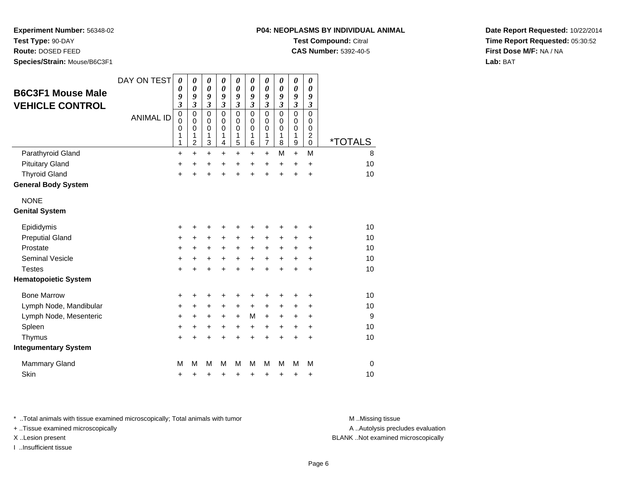**Test Type:** 90-DAY

**Route:** DOSED FEED

**Species/Strain:** Mouse/B6C3F1

**CAS Number:** 5392-40-5

**Date Report Requested:** 10/22/2014**Time Report Requested:** 05:30:52**First Dose M/F:** NA / NA**Lab:** BAT

| <b>B6C3F1 Mouse Male</b>    | DAY ON TEST      | $\boldsymbol{\theta}$<br>0                | $\boldsymbol{\theta}$<br>0                   | 0<br>$\boldsymbol{\theta}$      | 0<br>$\boldsymbol{\theta}$                          | 0<br>0                          | 0<br>$\boldsymbol{\theta}$                    | 0<br>0                                                 | 0<br>$\boldsymbol{\theta}$             | 0<br>0                                    | 0<br>0                                                           |                       |
|-----------------------------|------------------|-------------------------------------------|----------------------------------------------|---------------------------------|-----------------------------------------------------|---------------------------------|-----------------------------------------------|--------------------------------------------------------|----------------------------------------|-------------------------------------------|------------------------------------------------------------------|-----------------------|
| <b>VEHICLE CONTROL</b>      |                  | 9<br>$\overline{\mathbf{3}}$              | 9<br>$\overline{\mathbf{3}}$                 | 9<br>$\mathfrak{z}$             | 9<br>$\mathfrak{z}$                                 | 9<br>$\overline{\mathbf{3}}$    | 9<br>$\mathfrak{z}$                           | 9<br>3                                                 | 9<br>$\mathfrak{z}$                    | 9<br>3                                    | 9<br>3                                                           |                       |
|                             | <b>ANIMAL ID</b> | $\mathbf 0$<br>$\mathbf 0$<br>0<br>1<br>1 | 0<br>$\mathbf 0$<br>0<br>1<br>$\overline{c}$ | 0<br>$\mathbf 0$<br>0<br>1<br>3 | $\mathbf 0$<br>$\mathbf 0$<br>$\mathbf 0$<br>1<br>4 | 0<br>$\mathbf 0$<br>0<br>1<br>5 | $\Omega$<br>$\Omega$<br>$\mathbf 0$<br>1<br>6 | $\mathbf 0$<br>$\mathbf 0$<br>0<br>1<br>$\overline{7}$ | $\Omega$<br>$\mathbf 0$<br>0<br>1<br>8 | $\mathbf 0$<br>$\mathbf 0$<br>0<br>1<br>9 | $\mathbf 0$<br>$\mathbf 0$<br>0<br>$\overline{c}$<br>$\mathsf 0$ | <i><b>*TOTALS</b></i> |
| Parathyroid Gland           |                  | $\ddot{}$                                 | $\ddot{}$                                    | $\ddot{}$                       | $\ddot{}$                                           | $\ddot{}$                       | +                                             | $\ddot{}$                                              | M                                      | $+$                                       | M                                                                | 8                     |
| <b>Pituitary Gland</b>      |                  | +                                         | $\ddot{}$                                    | +                               | +                                                   | $\ddot{}$                       | $\ddot{}$                                     | $\ddot{}$                                              | $\ddot{}$                              | $\ddot{}$                                 | $\ddot{}$                                                        | 10                    |
| <b>Thyroid Gland</b>        |                  | $\ddot{}$                                 | $\ddot{}$                                    | $\ddot{}$                       | $\ddot{}$                                           | $\ddot{}$                       | $\ddot{}$                                     | $\ddot{}$                                              | $\ddot{}$                              | $\ddot{}$                                 | $\ddot{}$                                                        | 10                    |
| <b>General Body System</b>  |                  |                                           |                                              |                                 |                                                     |                                 |                                               |                                                        |                                        |                                           |                                                                  |                       |
| <b>NONE</b>                 |                  |                                           |                                              |                                 |                                                     |                                 |                                               |                                                        |                                        |                                           |                                                                  |                       |
| <b>Genital System</b>       |                  |                                           |                                              |                                 |                                                     |                                 |                                               |                                                        |                                        |                                           |                                                                  |                       |
| Epididymis                  |                  | +                                         | +                                            | +                               | +                                                   | +                               | +                                             | +                                                      | ٠                                      | ٠                                         | +                                                                | 10                    |
| <b>Preputial Gland</b>      |                  | +                                         | $\ddot{}$                                    | $\ddot{}$                       | $\ddot{}$                                           | $\ddot{}$                       | $\ddot{}$                                     | +                                                      | $\ddot{}$                              | $\ddot{}$                                 | $\ddot{}$                                                        | 10                    |
| Prostate                    |                  | +                                         | $\ddot{}$                                    | $\ddot{}$                       | $\ddot{}$                                           | $\ddot{}$                       | $\ddot{}$                                     | $\ddot{}$                                              | $\ddot{}$                              | $\ddot{}$                                 | $\ddot{}$                                                        | 10                    |
| <b>Seminal Vesicle</b>      |                  | +                                         | +                                            | +                               | $\ddot{}$                                           | $\ddot{}$                       | $\ddot{}$                                     | $\ddot{}$                                              | $\ddot{}$                              | $\ddot{}$                                 | +                                                                | 10                    |
| <b>Testes</b>               |                  | $\ddot{}$                                 |                                              | $\ddot{}$                       | ÷                                                   | $\ddot{}$                       | $\ddot{}$                                     | $\ddot{}$                                              | $\ddot{}$                              | $\ddot{}$                                 | $\ddot{}$                                                        | 10                    |
| <b>Hematopoietic System</b> |                  |                                           |                                              |                                 |                                                     |                                 |                                               |                                                        |                                        |                                           |                                                                  |                       |
| <b>Bone Marrow</b>          |                  | +                                         | +                                            | +                               |                                                     | +                               | +                                             | +                                                      |                                        |                                           | +                                                                | 10                    |
| Lymph Node, Mandibular      |                  | +                                         | ٠                                            | +                               | $\ddot{}$                                           | $\ddot{}$                       | $\pm$                                         | $\pm$                                                  | $\ddot{}$                              | ÷                                         | +                                                                | 10                    |
| Lymph Node, Mesenteric      |                  | +                                         | +                                            | +                               | +                                                   | $\ddot{}$                       | M                                             | $\ddot{}$                                              | $\ddot{}$                              | $\ddot{}$                                 | +                                                                | 9                     |
| Spleen                      |                  | +                                         | +                                            | +                               | +                                                   | +                               | $\ddot{}$                                     | $\pm$                                                  | $\ddot{}$                              | $\pm$                                     | +                                                                | 10                    |
| Thymus                      |                  | +                                         |                                              | +                               | +                                                   | $\ddot{}$                       | $\ddot{}$                                     | $\ddot{}$                                              | $\ddot{}$                              | +                                         | +                                                                | 10                    |
| <b>Integumentary System</b> |                  |                                           |                                              |                                 |                                                     |                                 |                                               |                                                        |                                        |                                           |                                                                  |                       |
| <b>Mammary Gland</b>        |                  | M                                         | М                                            | M                               | м                                                   | M                               | М                                             | М                                                      | м                                      | M                                         | M                                                                | $\Omega$              |
| Skin                        |                  | +                                         | +                                            | +                               | +                                                   | +                               | +                                             | +                                                      | +                                      | +                                         | +                                                                | 10                    |

\* ..Total animals with tissue examined microscopically; Total animals with tumor **M** . Missing tissue M ..Missing tissue

+ ..Tissue examined microscopically

I ..Insufficient tissue

A ..Autolysis precludes evaluation

X ..Lesion present BLANK ..Not examined microscopically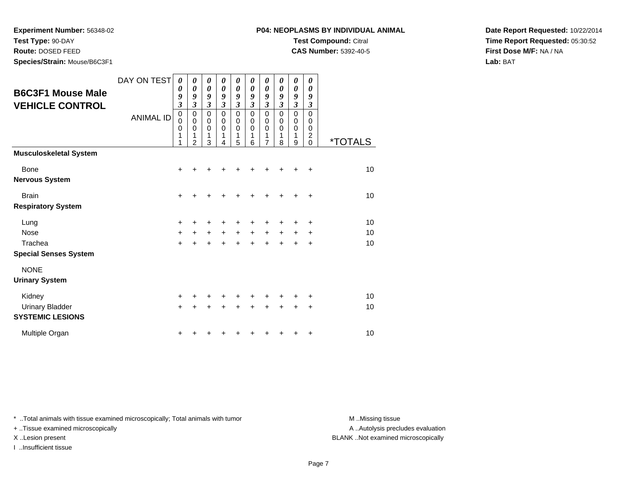**Test Type:** 90-DAY

**Route:** DOSED FEED

**Species/Strain:** Mouse/B6C3F1

**CAS Number:** 5392-40-5

**Date Report Requested:** 10/22/2014**Time Report Requested:** 05:30:52**First Dose M/F:** NA / NA**Lab:** BAT

| <b>B6C3F1 Mouse Male</b><br><b>VEHICLE CONTROL</b>             | DAY ON TEST<br><b>ANIMAL ID</b> | 0<br>0<br>9<br>$\overline{\mathbf{3}}$<br>$\mathbf 0$<br>$\mathbf 0$<br>0<br>1<br>1 | 0<br>$\boldsymbol{\theta}$<br>9<br>$\overline{\mathbf{3}}$<br>$\mathbf 0$<br>$\mathbf 0$<br>$\mathbf 0$<br>1<br>$\overline{2}$ | 0<br>$\boldsymbol{\theta}$<br>9<br>$\boldsymbol{\mathfrak{z}}$<br>$\pmb{0}$<br>$\pmb{0}$<br>$\pmb{0}$<br>1<br>3 | 0<br>0<br>9<br>$\boldsymbol{\beta}$<br>$\mathbf 0$<br>0<br>$\pmb{0}$<br>1<br>4 | 0<br>0<br>9<br>$\mathfrak{z}$<br>$\mathbf 0$<br>$\mathbf 0$<br>$\pmb{0}$<br>1<br>5 | 0<br>0<br>9<br>$\mathfrak{z}$<br>$\mathbf 0$<br>0<br>0<br>1<br>6 | 0<br>0<br>9<br>$\mathfrak{z}$<br>$\mathbf 0$<br>0<br>0<br>1<br>$\overline{7}$ | 0<br>0<br>9<br>$\mathfrak{z}$<br>$\Omega$<br>0<br>0<br>1<br>8 | 0<br>0<br>9<br>$\mathfrak{z}$<br>$\mathbf 0$<br>0<br>0<br>1<br>9 | 0<br>0<br>9<br>$\mathfrak{z}$<br>$\mathbf 0$<br>0<br>0<br>$\overline{c}$<br>0 | <i><b>*TOTALS</b></i> |
|----------------------------------------------------------------|---------------------------------|-------------------------------------------------------------------------------------|--------------------------------------------------------------------------------------------------------------------------------|-----------------------------------------------------------------------------------------------------------------|--------------------------------------------------------------------------------|------------------------------------------------------------------------------------|------------------------------------------------------------------|-------------------------------------------------------------------------------|---------------------------------------------------------------|------------------------------------------------------------------|-------------------------------------------------------------------------------|-----------------------|
| <b>Musculoskeletal System</b>                                  |                                 |                                                                                     |                                                                                                                                |                                                                                                                 |                                                                                |                                                                                    |                                                                  |                                                                               |                                                               |                                                                  |                                                                               |                       |
| Bone<br><b>Nervous System</b>                                  |                                 | +                                                                                   |                                                                                                                                |                                                                                                                 |                                                                                |                                                                                    |                                                                  |                                                                               |                                                               | ٠                                                                | ÷                                                                             | 10                    |
| <b>Brain</b><br><b>Respiratory System</b>                      |                                 | $\ddot{}$                                                                           |                                                                                                                                |                                                                                                                 |                                                                                |                                                                                    |                                                                  |                                                                               |                                                               | +                                                                | $\ddot{}$                                                                     | 10                    |
| Lung<br><b>Nose</b><br>Trachea<br><b>Special Senses System</b> |                                 | $\ddot{}$<br>$\ddot{}$<br>$\ddot{}$                                                 | $\ddot{}$                                                                                                                      | $+$<br>$\ddot{}$                                                                                                | $+$                                                                            | $+$<br>$\ddot{}$                                                                   | $\ddot{}$                                                        | $\ddot{}$<br>÷                                                                | $\ddot{}$<br>÷                                                | $\pm$<br>$\ddot{}$                                               | +<br>$\ddot{}$<br>$\ddot{}$                                                   | 10<br>10<br>10        |
| <b>NONE</b><br><b>Urinary System</b>                           |                                 |                                                                                     |                                                                                                                                |                                                                                                                 |                                                                                |                                                                                    |                                                                  |                                                                               |                                                               |                                                                  |                                                                               |                       |
| Kidney<br><b>Urinary Bladder</b><br><b>SYSTEMIC LESIONS</b>    |                                 | $\ddot{}$<br>$\ddot{}$                                                              |                                                                                                                                |                                                                                                                 |                                                                                |                                                                                    |                                                                  | +                                                                             | +                                                             | +                                                                | ٠<br>+                                                                        | 10<br>10              |
| Multiple Organ                                                 |                                 | +                                                                                   |                                                                                                                                |                                                                                                                 |                                                                                |                                                                                    |                                                                  |                                                                               |                                                               |                                                                  | ٠                                                                             | 10                    |

\* ..Total animals with tissue examined microscopically; Total animals with tumor **M** . Missing tissue M ..Missing tissue

+ ..Tissue examined microscopically

I ..Insufficient tissue

A ..Autolysis precludes evaluation

X ..Lesion present BLANK ..Not examined microscopically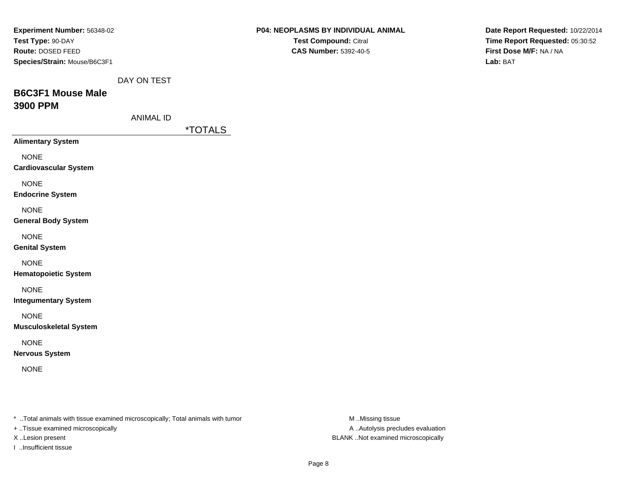| Experiment Number: 56348-02                                                     |                  |                       | P04: NEOPLASMS BY INDIVIDUAL ANIMAL |                  | Date Report Requested: 10/22/2014 |
|---------------------------------------------------------------------------------|------------------|-----------------------|-------------------------------------|------------------|-----------------------------------|
| Test Type: 90-DAY                                                               |                  |                       | Test Compound: Citral               |                  | Time Report Requested: 05:30:52   |
| Route: DOSED FEED                                                               |                  |                       | <b>CAS Number: 5392-40-5</b>        |                  | First Dose M/F: NA / NA           |
| Species/Strain: Mouse/B6C3F1                                                    |                  |                       |                                     |                  | Lab: BAT                          |
|                                                                                 |                  |                       |                                     |                  |                                   |
|                                                                                 | DAY ON TEST      |                       |                                     |                  |                                   |
| <b>B6C3F1 Mouse Male</b>                                                        |                  |                       |                                     |                  |                                   |
| 3900 PPM                                                                        |                  |                       |                                     |                  |                                   |
|                                                                                 | <b>ANIMAL ID</b> |                       |                                     |                  |                                   |
|                                                                                 |                  | <i><b>*TOTALS</b></i> |                                     |                  |                                   |
| <b>Alimentary System</b>                                                        |                  |                       |                                     |                  |                                   |
|                                                                                 |                  |                       |                                     |                  |                                   |
| <b>NONE</b>                                                                     |                  |                       |                                     |                  |                                   |
| <b>Cardiovascular System</b>                                                    |                  |                       |                                     |                  |                                   |
| <b>NONE</b>                                                                     |                  |                       |                                     |                  |                                   |
| <b>Endocrine System</b>                                                         |                  |                       |                                     |                  |                                   |
| <b>NONE</b>                                                                     |                  |                       |                                     |                  |                                   |
| <b>General Body System</b>                                                      |                  |                       |                                     |                  |                                   |
|                                                                                 |                  |                       |                                     |                  |                                   |
| <b>NONE</b>                                                                     |                  |                       |                                     |                  |                                   |
| <b>Genital System</b>                                                           |                  |                       |                                     |                  |                                   |
| <b>NONE</b>                                                                     |                  |                       |                                     |                  |                                   |
| <b>Hematopoietic System</b>                                                     |                  |                       |                                     |                  |                                   |
|                                                                                 |                  |                       |                                     |                  |                                   |
| <b>NONE</b>                                                                     |                  |                       |                                     |                  |                                   |
| <b>Integumentary System</b>                                                     |                  |                       |                                     |                  |                                   |
| <b>NONE</b>                                                                     |                  |                       |                                     |                  |                                   |
| <b>Musculoskeletal System</b>                                                   |                  |                       |                                     |                  |                                   |
| <b>NONE</b>                                                                     |                  |                       |                                     |                  |                                   |
| <b>Nervous System</b>                                                           |                  |                       |                                     |                  |                                   |
|                                                                                 |                  |                       |                                     |                  |                                   |
| <b>NONE</b>                                                                     |                  |                       |                                     |                  |                                   |
|                                                                                 |                  |                       |                                     |                  |                                   |
|                                                                                 |                  |                       |                                     |                  |                                   |
|                                                                                 |                  |                       |                                     |                  |                                   |
| *  Total animals with tissue examined microscopically; Total animals with tumor |                  |                       |                                     | M Missing tissue |                                   |

+ ..Tissue examined microscopically

I ..Insufficient tissue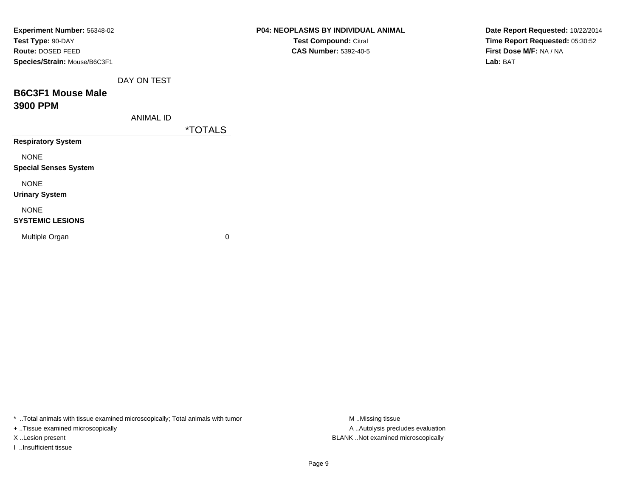| Experiment Number: 56348-02  |                  |                       | P04: NEOPLASMS BY INDIVIDUAL ANIMAL | Date Report Requested: 10/22/2014 |
|------------------------------|------------------|-----------------------|-------------------------------------|-----------------------------------|
| Test Type: 90-DAY            |                  |                       | Test Compound: Citral               | Time Report Requested: 05:30:52   |
| Route: DOSED FEED            |                  |                       | <b>CAS Number: 5392-40-5</b>        | First Dose M/F: NA / NA           |
| Species/Strain: Mouse/B6C3F1 |                  |                       |                                     | Lab: BAT                          |
|                              | DAY ON TEST      |                       |                                     |                                   |
| <b>B6C3F1 Mouse Male</b>     |                  |                       |                                     |                                   |
| 3900 PPM                     |                  |                       |                                     |                                   |
|                              | <b>ANIMAL ID</b> |                       |                                     |                                   |
|                              |                  | <i><b>*TOTALS</b></i> |                                     |                                   |
| <b>Respiratory System</b>    |                  |                       |                                     |                                   |
| <b>NONE</b>                  |                  |                       |                                     |                                   |
| <b>Special Senses System</b> |                  |                       |                                     |                                   |
| <b>NONE</b>                  |                  |                       |                                     |                                   |
| <b>Urinary System</b>        |                  |                       |                                     |                                   |
| <b>NONE</b>                  |                  |                       |                                     |                                   |
| <b>SYSTEMIC LESIONS</b>      |                  |                       |                                     |                                   |
| Multiple Organ               |                  | $\pmb{0}$             |                                     |                                   |
|                              |                  |                       |                                     |                                   |

\* ..Total animals with tissue examined microscopically; Total animals with tumor M..Missing tissue M ..Missing tissue

+ ..Tissue examined microscopically

I ..Insufficient tissue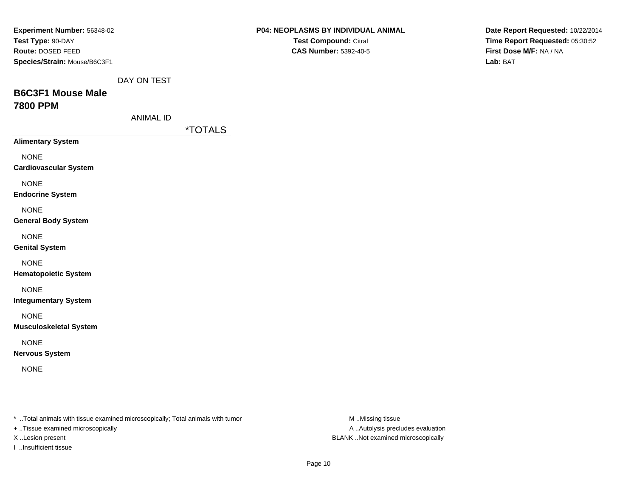| <b>Experiment Number: 56348-02</b>                                             | <b>P04: NEOPLASMS BY INDIVIDUAL ANIMAL</b> | Date Report Requested: 10/22/2014   |
|--------------------------------------------------------------------------------|--------------------------------------------|-------------------------------------|
| Test Type: 90-DAY                                                              | Test Compound: Citral                      | Time Report Requested: 05:30:52     |
| Route: DOSED FEED<br>Species/Strain: Mouse/B6C3F1                              | <b>CAS Number: 5392-40-5</b>               | First Dose M/F: NA / NA<br>Lab: BAT |
|                                                                                |                                            |                                     |
| DAY ON TEST                                                                    |                                            |                                     |
| <b>B6C3F1 Mouse Male</b>                                                       |                                            |                                     |
| <b>7800 PPM</b>                                                                |                                            |                                     |
| <b>ANIMAL ID</b>                                                               |                                            |                                     |
| <i><b>*TOTALS</b></i>                                                          |                                            |                                     |
| <b>Alimentary System</b>                                                       |                                            |                                     |
| <b>NONE</b>                                                                    |                                            |                                     |
| <b>Cardiovascular System</b>                                                   |                                            |                                     |
|                                                                                |                                            |                                     |
| <b>NONE</b><br><b>Endocrine System</b>                                         |                                            |                                     |
|                                                                                |                                            |                                     |
| <b>NONE</b>                                                                    |                                            |                                     |
| <b>General Body System</b>                                                     |                                            |                                     |
| <b>NONE</b>                                                                    |                                            |                                     |
| <b>Genital System</b>                                                          |                                            |                                     |
| <b>NONE</b>                                                                    |                                            |                                     |
| <b>Hematopoietic System</b>                                                    |                                            |                                     |
| <b>NONE</b>                                                                    |                                            |                                     |
| <b>Integumentary System</b>                                                    |                                            |                                     |
|                                                                                |                                            |                                     |
| <b>NONE</b><br><b>Musculoskeletal System</b>                                   |                                            |                                     |
|                                                                                |                                            |                                     |
| <b>NONE</b>                                                                    |                                            |                                     |
| <b>Nervous System</b>                                                          |                                            |                                     |
| <b>NONE</b>                                                                    |                                            |                                     |
|                                                                                |                                            |                                     |
|                                                                                |                                            |                                     |
|                                                                                |                                            |                                     |
| * Total animals with tissue examined microscopically; Total animals with tumor | M Missing tissue                           |                                     |

+ ..Tissue examined microscopically

I ..Insufficient tissue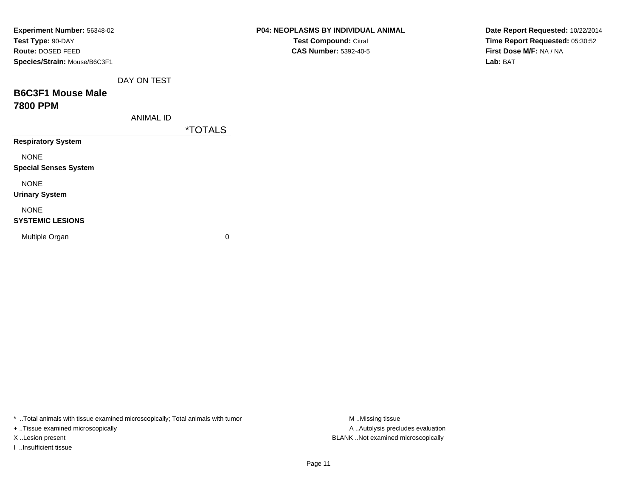| Experiment Number: 56348-02  |                  |                       | P04: NEOPLASMS BY INDIVIDUAL ANIMAL | Date Report Requested: 10/22/2014 |
|------------------------------|------------------|-----------------------|-------------------------------------|-----------------------------------|
| Test Type: 90-DAY            |                  |                       | Test Compound: Citral               | Time Report Requested: 05:30:52   |
| Route: DOSED FEED            |                  |                       | <b>CAS Number: 5392-40-5</b>        | First Dose M/F: NA / NA           |
| Species/Strain: Mouse/B6C3F1 |                  |                       |                                     | Lab: BAT                          |
|                              | DAY ON TEST      |                       |                                     |                                   |
| <b>B6C3F1 Mouse Male</b>     |                  |                       |                                     |                                   |
| <b>7800 PPM</b>              |                  |                       |                                     |                                   |
|                              | <b>ANIMAL ID</b> |                       |                                     |                                   |
|                              |                  | <i><b>*TOTALS</b></i> |                                     |                                   |
| <b>Respiratory System</b>    |                  |                       |                                     |                                   |
| <b>NONE</b>                  |                  |                       |                                     |                                   |
| <b>Special Senses System</b> |                  |                       |                                     |                                   |
| <b>NONE</b>                  |                  |                       |                                     |                                   |
| <b>Urinary System</b>        |                  |                       |                                     |                                   |
| <b>NONE</b>                  |                  |                       |                                     |                                   |
| <b>SYSTEMIC LESIONS</b>      |                  |                       |                                     |                                   |
| Multiple Organ               |                  | 0                     |                                     |                                   |
|                              |                  |                       |                                     |                                   |

\* ..Total animals with tissue examined microscopically; Total animals with tumor M..Missing tissue M ..Missing tissue

+ ..Tissue examined microscopically

I ..Insufficient tissue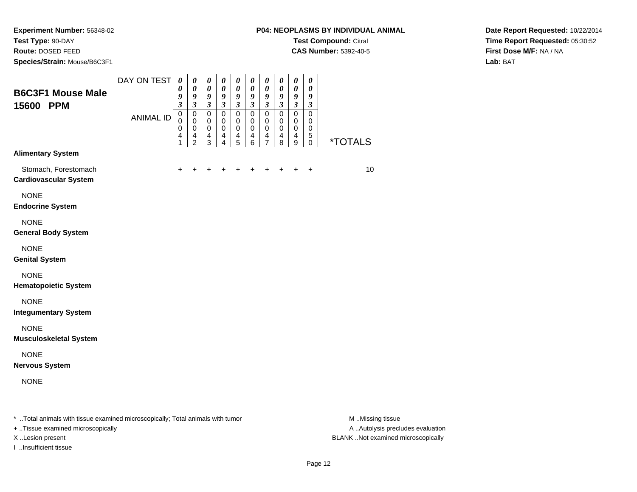**Test Type:** 90-DAY

**Route:** DOSED FEED

**Species/Strain:** Mouse/B6C3F1

**CAS Number:** 5392-40-5

**Date Report Requested:** 10/22/2014**Time Report Requested:** 05:30:52**First Dose M/F:** NA / NA**Lab:** BAT

| <b>B6C3F1 Mouse Male</b><br>15600 PPM                                           | DAY ON TEST      | $\boldsymbol{\theta}$<br>0<br>9<br>$\mathfrak{z}$ | $\boldsymbol{\theta}$<br>$\boldsymbol{\theta}$<br>9<br>$\mathfrak{z}$       | 0<br>$\pmb{\theta}$<br>9<br>$\mathfrak{z}$   | $\boldsymbol{\theta}$<br>$\boldsymbol{\theta}$<br>9<br>$\mathfrak{z}$ | $\boldsymbol{\theta}$<br>$\boldsymbol{\theta}$<br>9<br>$\mathfrak{z}$ | $\boldsymbol{\theta}$<br>$\boldsymbol{\theta}$<br>9<br>$\overline{\mathbf{3}}$ | $\boldsymbol{\theta}$<br>$\boldsymbol{\theta}$<br>9<br>$\boldsymbol{\beta}$ | $\boldsymbol{\theta}$<br>$\boldsymbol{\theta}$<br>9<br>$\mathfrak{z}$ | $\pmb{\theta}$<br>$\pmb{\theta}$<br>9<br>$\mathfrak{z}$ | $\boldsymbol{\theta}$<br>$\boldsymbol{\theta}$<br>9<br>$\boldsymbol{\beta}$ |                                      |
|---------------------------------------------------------------------------------|------------------|---------------------------------------------------|-----------------------------------------------------------------------------|----------------------------------------------|-----------------------------------------------------------------------|-----------------------------------------------------------------------|--------------------------------------------------------------------------------|-----------------------------------------------------------------------------|-----------------------------------------------------------------------|---------------------------------------------------------|-----------------------------------------------------------------------------|--------------------------------------|
|                                                                                 | <b>ANIMAL ID</b> | $\mathbf 0$<br>$\Omega$<br>0<br>4<br>1            | $\mathbf 0$<br>$\mathbf 0$<br>$\pmb{0}$<br>$\overline{4}$<br>$\overline{2}$ | $\mathbf 0$<br>0<br>0<br>$\overline{4}$<br>3 | $\mathbf 0$<br>0<br>0<br>$\overline{4}$<br>4                          | $\mathbf 0$<br>0<br>0<br>$\overline{4}$<br>5                          | $\mathbf 0$<br>$\mathbf 0$<br>0<br>$\overline{4}$<br>6                         | $\mathbf 0$<br>0<br>0<br>$\overline{4}$<br>$\overline{7}$                   | $\mathbf 0$<br>0<br>0<br>$\overline{4}$<br>8                          | $\mathsf 0$<br>0<br>0<br>4<br>9                         | $\mathbf 0$<br>$\mathbf 0$<br>$\mathbf 0$<br>5<br>$\mathbf 0$               | <i><b>*TOTALS</b></i>                |
| <b>Alimentary System</b>                                                        |                  |                                                   |                                                                             |                                              |                                                                       |                                                                       |                                                                                |                                                                             |                                                                       |                                                         |                                                                             |                                      |
| Stomach, Forestomach<br><b>Cardiovascular System</b>                            |                  | $\ddot{}$                                         |                                                                             |                                              | +                                                                     |                                                                       | +                                                                              | +                                                                           |                                                                       | +                                                       | $\ddot{}$                                                                   | 10                                   |
| <b>NONE</b><br><b>Endocrine System</b>                                          |                  |                                                   |                                                                             |                                              |                                                                       |                                                                       |                                                                                |                                                                             |                                                                       |                                                         |                                                                             |                                      |
| <b>NONE</b><br><b>General Body System</b>                                       |                  |                                                   |                                                                             |                                              |                                                                       |                                                                       |                                                                                |                                                                             |                                                                       |                                                         |                                                                             |                                      |
| <b>NONE</b><br><b>Genital System</b>                                            |                  |                                                   |                                                                             |                                              |                                                                       |                                                                       |                                                                                |                                                                             |                                                                       |                                                         |                                                                             |                                      |
| <b>NONE</b><br><b>Hematopoietic System</b>                                      |                  |                                                   |                                                                             |                                              |                                                                       |                                                                       |                                                                                |                                                                             |                                                                       |                                                         |                                                                             |                                      |
| <b>NONE</b><br><b>Integumentary System</b>                                      |                  |                                                   |                                                                             |                                              |                                                                       |                                                                       |                                                                                |                                                                             |                                                                       |                                                         |                                                                             |                                      |
| <b>NONE</b><br><b>Musculoskeletal System</b>                                    |                  |                                                   |                                                                             |                                              |                                                                       |                                                                       |                                                                                |                                                                             |                                                                       |                                                         |                                                                             |                                      |
| <b>NONE</b><br><b>Nervous System</b>                                            |                  |                                                   |                                                                             |                                              |                                                                       |                                                                       |                                                                                |                                                                             |                                                                       |                                                         |                                                                             |                                      |
| <b>NONE</b>                                                                     |                  |                                                   |                                                                             |                                              |                                                                       |                                                                       |                                                                                |                                                                             |                                                                       |                                                         |                                                                             |                                      |
| * Total opimals with tionup overwised misrosoppisally: Total opimals with tumor |                  |                                                   |                                                                             |                                              |                                                                       |                                                                       |                                                                                |                                                                             |                                                                       |                                                         |                                                                             | $M \rightarrow M \rightarrow \infty$ |

..Total animals with tissue examined microscopically; Total animals with tumor M ..Missing tissue M ..Missing tissue

+ ..Tissue examined microscopically

I ..Insufficient tissue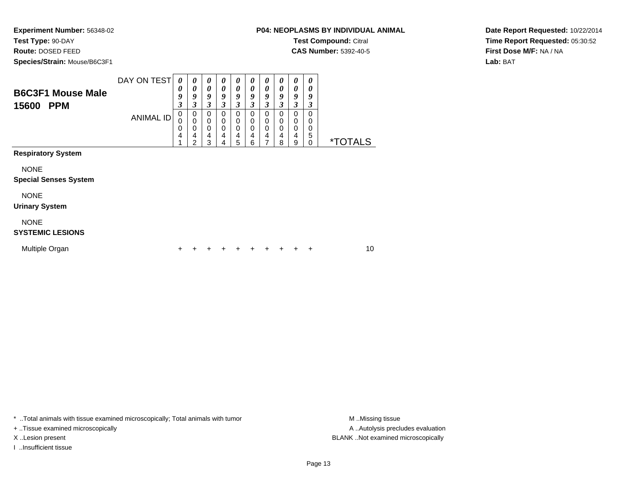**Test Type:** 90-DAY

**Route:** DOSED FEED

**Species/Strain:** Mouse/B6C3F1

**CAS Number:** 5392-40-5

**Date Report Requested:** 10/22/2014**Time Report Requested:** 05:30:52**First Dose M/F:** NA / NA**Lab:** BAT

| <b>B6C3F1 Mouse Male</b><br><b>PPM</b><br>15600 | DAY ON TEST<br>ANIMAL ID | 0<br>0<br>9<br>$\mathfrak{z}$<br>$\pmb{0}$<br>0<br>0<br>4 | 0<br>0<br>9<br>$\boldsymbol{\beta}$<br>0<br>0<br>0<br>4<br>2 | 0<br>0<br>9<br>3<br>0<br>0<br>0<br>4<br>3 | 0<br>0<br>9<br>3<br>$\mathbf 0$<br>0<br>$\mathbf 0$<br>4<br>4 | 0<br>0<br>9<br>3<br>0<br>0<br>0<br>4<br>5 | 0<br>$\boldsymbol{\theta}$<br>9<br>3<br>0<br>0<br>$\mathbf 0$<br>4<br>6 | 0<br>0<br>9<br>3<br>0<br>0<br>0<br>4<br>$\overline{ }$ | $\boldsymbol{\theta}$<br>0<br>9<br>$\mathfrak{z}$<br>0<br>0<br>$\mathbf 0$<br>4<br>8 | 0<br>0<br>9<br>3<br>0<br>0<br>0<br>4<br>9 | 0<br>0<br>9<br>3<br>0<br>0<br>0<br>5<br>$\mathbf 0$ | <i><b>*TOTALS</b></i> |
|-------------------------------------------------|--------------------------|-----------------------------------------------------------|--------------------------------------------------------------|-------------------------------------------|---------------------------------------------------------------|-------------------------------------------|-------------------------------------------------------------------------|--------------------------------------------------------|--------------------------------------------------------------------------------------|-------------------------------------------|-----------------------------------------------------|-----------------------|
| <b>Respiratory System</b>                       |                          |                                                           |                                                              |                                           |                                                               |                                           |                                                                         |                                                        |                                                                                      |                                           |                                                     |                       |
| <b>NONE</b><br><b>Special Senses System</b>     |                          |                                                           |                                                              |                                           |                                                               |                                           |                                                                         |                                                        |                                                                                      |                                           |                                                     |                       |
| <b>NONE</b><br><b>Urinary System</b>            |                          |                                                           |                                                              |                                           |                                                               |                                           |                                                                         |                                                        |                                                                                      |                                           |                                                     |                       |
| <b>NONE</b><br><b>SYSTEMIC LESIONS</b>          |                          |                                                           |                                                              |                                           |                                                               |                                           |                                                                         |                                                        |                                                                                      |                                           |                                                     |                       |
| Multiple Organ                                  |                          | +                                                         |                                                              |                                           |                                                               |                                           | ÷                                                                       | ٠                                                      | +                                                                                    |                                           | ÷                                                   | 10                    |

\* ..Total animals with tissue examined microscopically; Total animals with tumor **M** . Missing tissue M ..Missing tissue

+ ..Tissue examined microscopically

I ..Insufficient tissue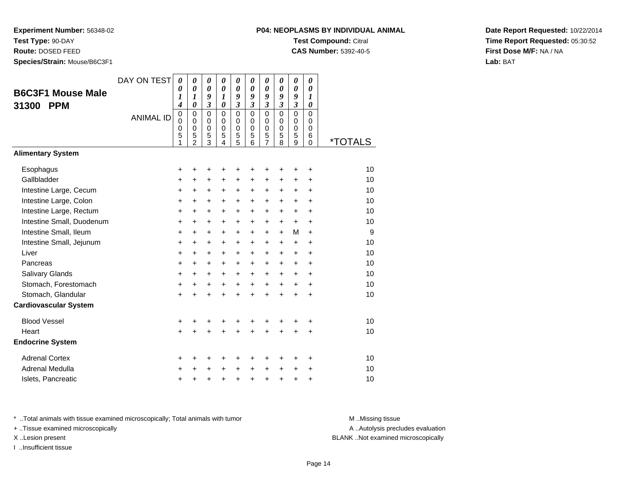**Test Type:** 90-DAY

**Route:** DOSED FEED

**Species/Strain:** Mouse/B6C3F1

### **P04: NEOPLASMS BY INDIVIDUAL ANIMALTest Compound:** Citral

**CAS Number:** 5392-40-5

**Date Report Requested:** 10/22/2014**Time Report Requested:** 05:30:52**First Dose M/F:** NA / NA**Lab:** BAT

| <b>B6C3F1 Mouse Male</b><br><b>PPM</b><br>31300 | DAY ON TEST<br><b>ANIMAL ID</b> | $\boldsymbol{\theta}$<br>0<br>1<br>4<br>$\mathbf 0$<br>$\mathbf 0$<br>0<br>5 | $\boldsymbol{\theta}$<br>$\boldsymbol{\theta}$<br>1<br>0<br>$\mathbf 0$<br>$\mathbf 0$<br>0<br>5 | 0<br>$\boldsymbol{\theta}$<br>9<br>$\mathfrak{z}$<br>$\mathbf 0$<br>$\mathbf 0$<br>$\mathbf 0$<br>$\mathbf 5$ | 0<br>$\boldsymbol{\theta}$<br>$\boldsymbol{l}$<br>$\boldsymbol{\theta}$<br>$\mathbf 0$<br>$\mathbf 0$<br>$\mathbf 0$<br>5 | 0<br>$\boldsymbol{\theta}$<br>9<br>$\mathfrak{z}$<br>$\mathbf 0$<br>$\mathbf 0$<br>0<br>$\frac{5}{5}$ | 0<br>$\boldsymbol{\theta}$<br>9<br>$\mathfrak{z}$<br>$\mathbf 0$<br>$\mathbf 0$<br>0<br>5 | 0<br>$\boldsymbol{\theta}$<br>9<br>$\overline{\mathbf{3}}$<br>$\mathbf 0$<br>$\mathbf 0$<br>0<br>$\frac{5}{7}$ | 0<br>$\boldsymbol{\theta}$<br>9<br>$\overline{\mathbf{3}}$<br>0<br>$\mathbf 0$<br>0<br>5 | 0<br>$\boldsymbol{\theta}$<br>9<br>$\mathfrak{z}$<br>$\mathbf 0$<br>$\mathbf 0$<br>$\mathbf 0$<br>5 | 0<br>$\boldsymbol{\theta}$<br>$\boldsymbol{\mathcal{I}}$<br>0<br>$\Omega$<br>0<br>$\mathbf 0$<br>6 |                       |
|-------------------------------------------------|---------------------------------|------------------------------------------------------------------------------|--------------------------------------------------------------------------------------------------|---------------------------------------------------------------------------------------------------------------|---------------------------------------------------------------------------------------------------------------------------|-------------------------------------------------------------------------------------------------------|-------------------------------------------------------------------------------------------|----------------------------------------------------------------------------------------------------------------|------------------------------------------------------------------------------------------|-----------------------------------------------------------------------------------------------------|----------------------------------------------------------------------------------------------------|-----------------------|
| <b>Alimentary System</b>                        |                                 | 1                                                                            | $\overline{c}$                                                                                   | 3                                                                                                             | $\overline{4}$                                                                                                            |                                                                                                       | 6                                                                                         |                                                                                                                | 8                                                                                        | 9                                                                                                   | $\Omega$                                                                                           | <i><b>*TOTALS</b></i> |
|                                                 |                                 |                                                                              |                                                                                                  |                                                                                                               |                                                                                                                           |                                                                                                       |                                                                                           |                                                                                                                |                                                                                          |                                                                                                     |                                                                                                    |                       |
| Esophagus                                       |                                 | +                                                                            | +                                                                                                | +                                                                                                             | +                                                                                                                         | +                                                                                                     | +                                                                                         | +                                                                                                              | +                                                                                        | +                                                                                                   | +                                                                                                  | 10                    |
| Gallbladder                                     |                                 | $\ddot{}$                                                                    | +                                                                                                | +                                                                                                             | +                                                                                                                         | +                                                                                                     | +                                                                                         | +                                                                                                              | +                                                                                        | +                                                                                                   | $\ddot{}$                                                                                          | 10                    |
| Intestine Large, Cecum                          |                                 | $\ddot{}$                                                                    | $\ddot{}$                                                                                        | $\ddot{}$                                                                                                     | $\ddot{}$                                                                                                                 | $\ddot{}$                                                                                             | $\ddot{}$                                                                                 | $\ddot{}$                                                                                                      | $\ddot{}$                                                                                | $\ddot{}$                                                                                           | $\ddot{}$                                                                                          | 10                    |
| Intestine Large, Colon                          |                                 | $\ddot{}$                                                                    | $\ddot{}$                                                                                        | $\ddot{}$                                                                                                     | $\ddot{}$                                                                                                                 | $\ddot{}$                                                                                             | $\ddot{}$                                                                                 | $+$                                                                                                            | $+$                                                                                      | $\ddot{}$                                                                                           | $\ddot{}$                                                                                          | 10                    |
| Intestine Large, Rectum                         |                                 | $\ddot{}$                                                                    | $\ddot{}$                                                                                        | $\ddot{}$                                                                                                     | $\ddot{}$                                                                                                                 | $\ddot{}$                                                                                             | $\ddot{}$                                                                                 | $\ddot{}$                                                                                                      | $\ddot{}$                                                                                | $\ddot{}$                                                                                           | $\ddot{}$                                                                                          | 10                    |
| Intestine Small, Duodenum                       |                                 | $\ddot{}$                                                                    | $\ddot{}$                                                                                        | $\ddot{}$                                                                                                     | $\ddot{}$                                                                                                                 | $\ddot{}$                                                                                             | $\ddot{}$                                                                                 | $+$                                                                                                            | $\ddot{}$                                                                                | $\ddot{}$                                                                                           | $\ddot{}$                                                                                          | 10                    |
| Intestine Small, Ileum                          |                                 | $\ddot{}$                                                                    | $\ddot{}$                                                                                        | $\ddot{}$                                                                                                     | $\ddot{}$                                                                                                                 | $\ddot{}$                                                                                             | $\ddot{}$                                                                                 | $\ddot{}$                                                                                                      | $\ddot{}$                                                                                | M                                                                                                   | $\ddot{}$                                                                                          | 9                     |
| Intestine Small, Jejunum                        |                                 | +                                                                            | +                                                                                                | $\ddot{}$                                                                                                     | +                                                                                                                         | $\ddot{}$                                                                                             | $\ddot{}$                                                                                 | $\pm$                                                                                                          | $\ddot{}$                                                                                | $\ddot{}$                                                                                           | +                                                                                                  | 10                    |
| Liver                                           |                                 | $\ddot{}$                                                                    | $\ddot{}$                                                                                        | $\ddot{}$                                                                                                     | $\ddot{}$                                                                                                                 | $\ddot{}$                                                                                             | $\ddot{}$                                                                                 | $+$                                                                                                            | $\ddot{}$                                                                                | $\ddot{}$                                                                                           | $\div$                                                                                             | 10                    |
| Pancreas                                        |                                 | $\ddot{}$                                                                    | $\ddot{}$                                                                                        | $\ddot{}$                                                                                                     | $\ddot{}$                                                                                                                 | $\ddot{}$                                                                                             | $\ddot{}$                                                                                 | $+$                                                                                                            | $\ddot{}$                                                                                | $\ddot{}$                                                                                           | $\ddot{}$                                                                                          | 10                    |
| <b>Salivary Glands</b>                          |                                 | +                                                                            | $\ddot{}$                                                                                        | $\ddot{}$                                                                                                     | $\ddot{}$                                                                                                                 | $\ddot{}$                                                                                             | $\ddot{}$                                                                                 | $\ddot{}$                                                                                                      | $\ddot{}$                                                                                | $\ddot{}$                                                                                           | $\ddot{}$                                                                                          | 10                    |
| Stomach, Forestomach                            |                                 | +                                                                            | +                                                                                                | +                                                                                                             | $\ddot{}$                                                                                                                 | $\ddot{}$                                                                                             | $\ddot{}$                                                                                 | $\ddot{}$                                                                                                      | $\ddot{}$                                                                                | +                                                                                                   | $\ddot{}$                                                                                          | 10                    |
| Stomach, Glandular                              |                                 | $\ddot{}$                                                                    |                                                                                                  | $\ddot{}$                                                                                                     | $\ddot{}$                                                                                                                 | $\ddot{}$                                                                                             | $\ddot{}$                                                                                 | $\ddot{}$                                                                                                      | $\ddot{}$                                                                                | $\ddot{}$                                                                                           | $\ddot{}$                                                                                          | 10                    |
| <b>Cardiovascular System</b>                    |                                 |                                                                              |                                                                                                  |                                                                                                               |                                                                                                                           |                                                                                                       |                                                                                           |                                                                                                                |                                                                                          |                                                                                                     |                                                                                                    |                       |
| <b>Blood Vessel</b>                             |                                 | +                                                                            | +                                                                                                | +                                                                                                             | +                                                                                                                         | +                                                                                                     | +                                                                                         | +                                                                                                              | +                                                                                        |                                                                                                     | +                                                                                                  | 10                    |
| Heart                                           |                                 | $\ddot{}$                                                                    |                                                                                                  | $\ddot{}$                                                                                                     | Ŧ.                                                                                                                        | $\ddot{}$                                                                                             | ÷                                                                                         | $\ddot{}$                                                                                                      | $\ddot{}$                                                                                | $\ddot{}$                                                                                           | $\ddot{}$                                                                                          | 10                    |
| <b>Endocrine System</b>                         |                                 |                                                                              |                                                                                                  |                                                                                                               |                                                                                                                           |                                                                                                       |                                                                                           |                                                                                                                |                                                                                          |                                                                                                     |                                                                                                    |                       |
| <b>Adrenal Cortex</b>                           |                                 | +                                                                            | +                                                                                                | +                                                                                                             | +                                                                                                                         | +                                                                                                     | +                                                                                         | +                                                                                                              | ٠                                                                                        | ٠                                                                                                   | ÷                                                                                                  | 10                    |
| Adrenal Medulla                                 |                                 | +                                                                            |                                                                                                  | +                                                                                                             | $\ddot{}$                                                                                                                 | $\ddot{}$                                                                                             | $\ddot{}$                                                                                 | $\ddot{}$                                                                                                      | $\ddot{}$                                                                                | $\ddot{}$                                                                                           | +                                                                                                  | 10                    |
| Islets, Pancreatic                              |                                 | +                                                                            | +                                                                                                | +                                                                                                             | +                                                                                                                         | $\ddot{}$                                                                                             | $\ddot{}$                                                                                 | +                                                                                                              | +                                                                                        | +                                                                                                   | +                                                                                                  | 10                    |

\* ..Total animals with tissue examined microscopically; Total animals with tumor **M** . Missing tissue M ..Missing tissue

+ ..Tissue examined microscopically

I ..Insufficient tissue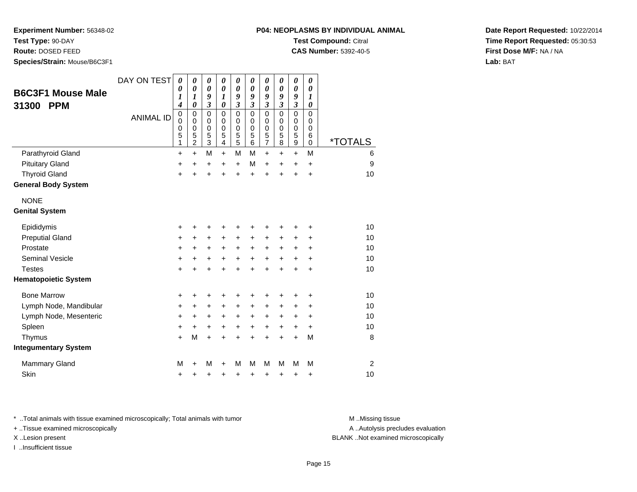**Test Type:** 90-DAY

**Route:** DOSED FEED

**Species/Strain:** Mouse/B6C3F1

| P04: NEOPLASMS BY INDIVIDUAL ANIMAL |
|-------------------------------------|
| <b>Test Compound: Citral</b>        |

**CAS Number:** 5392-40-5

**Date Report Requested:** 10/22/2014**Time Report Requested:** 05:30:53**First Dose M/F:** NA / NA**Lab:** BAT

| <b>B6C3F1 Mouse Male</b><br><b>PPM</b><br>31300 | DAY ON TEST<br><b>ANIMAL ID</b> | 0<br>0<br>1<br>$\boldsymbol{4}$<br>0<br>0<br>0<br>5<br>1 | 0<br>0<br>1<br>$\theta$<br>$\mathbf 0$<br>$\mathbf 0$<br>$\mathbf 0$<br>5<br>$\overline{2}$ | 0<br>$\boldsymbol{\theta}$<br>9<br>$\overline{\mathbf{3}}$<br>$\mathbf 0$<br>0<br>$\mathbf 0$<br>$\overline{5}$<br>$\overline{3}$ | 0<br>$\pmb{\theta}$<br>1<br>$\boldsymbol{\theta}$<br>$\mathbf 0$<br>$\mathbf 0$<br>0<br>5<br>$\overline{4}$ | 0<br>0<br>9<br>3<br>$\mathbf 0$<br>$\mathbf 0$<br>0<br>5<br>5 | 0<br>0<br>9<br>3<br>$\Omega$<br>0<br>0<br>5<br>6 | 0<br>0<br>9<br>3<br>$\mathbf 0$<br>$\mathbf 0$<br>0<br>5<br>$\overline{7}$ | 0<br>$\boldsymbol{\theta}$<br>9<br>3<br>$\mathbf 0$<br>$\mathbf 0$<br>$\pmb{0}$<br>5<br>8 | 0<br>0<br>9<br>$\overline{\mathbf{3}}$<br>$\mathbf 0$<br>$\mathbf 0$<br>$\mathbf 0$<br>5<br>$\boldsymbol{9}$ | 0<br>0<br>1<br>0<br>$\mathbf 0$<br>$\mathbf 0$<br>0<br>6<br>0 | <i><b>*TOTALS</b></i> |
|-------------------------------------------------|---------------------------------|----------------------------------------------------------|---------------------------------------------------------------------------------------------|-----------------------------------------------------------------------------------------------------------------------------------|-------------------------------------------------------------------------------------------------------------|---------------------------------------------------------------|--------------------------------------------------|----------------------------------------------------------------------------|-------------------------------------------------------------------------------------------|--------------------------------------------------------------------------------------------------------------|---------------------------------------------------------------|-----------------------|
| Parathyroid Gland                               |                                 | +                                                        | $\ddot{}$                                                                                   | M                                                                                                                                 | $+$                                                                                                         | M                                                             | M                                                | $\ddot{}$                                                                  | $+$                                                                                       | $\ddot{}$                                                                                                    | M                                                             | 6                     |
| <b>Pituitary Gland</b>                          |                                 | $\ddot{}$                                                | $\ddot{}$                                                                                   | $\ddot{}$                                                                                                                         | $+$                                                                                                         | $+$                                                           | M                                                | $\ddot{}$                                                                  | $\ddot{}$                                                                                 | $\ddot{}$                                                                                                    | $\ddot{}$                                                     | 9                     |
| <b>Thyroid Gland</b>                            |                                 | $\ddot{}$                                                | $\ddot{}$                                                                                   | $\ddot{}$                                                                                                                         | ÷                                                                                                           | $\ddot{}$                                                     | $\ddot{}$                                        | $\ddot{}$                                                                  |                                                                                           | $\ddot{}$                                                                                                    | $\ddot{}$                                                     | 10                    |
| <b>General Body System</b>                      |                                 |                                                          |                                                                                             |                                                                                                                                   |                                                                                                             |                                                               |                                                  |                                                                            |                                                                                           |                                                                                                              |                                                               |                       |
| <b>NONE</b>                                     |                                 |                                                          |                                                                                             |                                                                                                                                   |                                                                                                             |                                                               |                                                  |                                                                            |                                                                                           |                                                                                                              |                                                               |                       |
| <b>Genital System</b>                           |                                 |                                                          |                                                                                             |                                                                                                                                   |                                                                                                             |                                                               |                                                  |                                                                            |                                                                                           |                                                                                                              |                                                               |                       |
| Epididymis                                      |                                 | +                                                        | +                                                                                           |                                                                                                                                   |                                                                                                             | +                                                             | +                                                | +                                                                          |                                                                                           |                                                                                                              | +                                                             | 10                    |
| <b>Preputial Gland</b>                          |                                 | +                                                        | +                                                                                           | +                                                                                                                                 | $\pm$                                                                                                       | +                                                             | +                                                | +                                                                          | $\ddot{}$                                                                                 | $\ddot{}$                                                                                                    | +                                                             | 10                    |
| Prostate                                        |                                 | +                                                        | +                                                                                           | +                                                                                                                                 | $\ddot{}$                                                                                                   | +                                                             | $\ddot{}$                                        | +                                                                          | $\ddot{}$                                                                                 | $\ddot{}$                                                                                                    | +                                                             | 10                    |
| <b>Seminal Vesicle</b>                          |                                 | $\ddot{}$                                                | +                                                                                           | +                                                                                                                                 | +                                                                                                           | +                                                             | +                                                | +                                                                          | +                                                                                         | +                                                                                                            | +                                                             | 10                    |
| <b>Testes</b>                                   |                                 | $\ddot{}$                                                | $\ddot{}$                                                                                   | $\ddot{}$                                                                                                                         | ÷                                                                                                           | $\ddot{}$                                                     | $\ddot{}$                                        | $\ddot{}$                                                                  | $\ddot{}$                                                                                 | $\ddot{}$                                                                                                    | +                                                             | 10                    |
| <b>Hematopoietic System</b>                     |                                 |                                                          |                                                                                             |                                                                                                                                   |                                                                                                             |                                                               |                                                  |                                                                            |                                                                                           |                                                                                                              |                                                               |                       |
| <b>Bone Marrow</b>                              |                                 | +                                                        | +                                                                                           | +                                                                                                                                 | +                                                                                                           | +                                                             | +                                                | +                                                                          |                                                                                           | ٠                                                                                                            | ٠                                                             | 10                    |
| Lymph Node, Mandibular                          |                                 | +                                                        | +                                                                                           | $\pm$                                                                                                                             | $\pm$                                                                                                       | $\pm$                                                         | +                                                | +                                                                          | $\ddot{}$                                                                                 | +                                                                                                            | ٠                                                             | 10                    |
| Lymph Node, Mesenteric                          |                                 | +                                                        | +                                                                                           | +                                                                                                                                 | +                                                                                                           | +                                                             | +                                                | +                                                                          | $\ddot{}$                                                                                 | +                                                                                                            | +                                                             | 10                    |
| Spleen                                          |                                 | +                                                        | +                                                                                           | $\pm$                                                                                                                             | $\ddot{}$                                                                                                   | $\pm$                                                         | $\ddot{}$                                        | +                                                                          | $\ddot{}$                                                                                 | $\ddot{}$                                                                                                    | $\ddot{}$                                                     | 10                    |
| Thymus                                          |                                 | $\ddot{}$                                                | M                                                                                           | $\ddot{}$                                                                                                                         | $\ddot{}$                                                                                                   | +                                                             | $\ddot{}$                                        | $\ddot{}$                                                                  | $\ddot{}$                                                                                 | $\ddot{}$                                                                                                    | M                                                             | 8                     |
| <b>Integumentary System</b>                     |                                 |                                                          |                                                                                             |                                                                                                                                   |                                                                                                             |                                                               |                                                  |                                                                            |                                                                                           |                                                                                                              |                                                               |                       |
| <b>Mammary Gland</b>                            |                                 | M                                                        | +                                                                                           | М                                                                                                                                 | ÷                                                                                                           | М                                                             | М                                                | М                                                                          | М                                                                                         | M                                                                                                            | M                                                             | $\overline{2}$        |
| Skin                                            |                                 | +                                                        | +                                                                                           | +                                                                                                                                 | +                                                                                                           | +                                                             | +                                                | +                                                                          | +                                                                                         | +                                                                                                            | +                                                             | 10                    |

\* ..Total animals with tissue examined microscopically; Total animals with tumor **M** ..Missing tissue M ..Missing tissue

+ ..Tissue examined microscopically

I ..Insufficient tissue

A ..Autolysis precludes evaluation

X ..Lesion present BLANK ..Not examined microscopically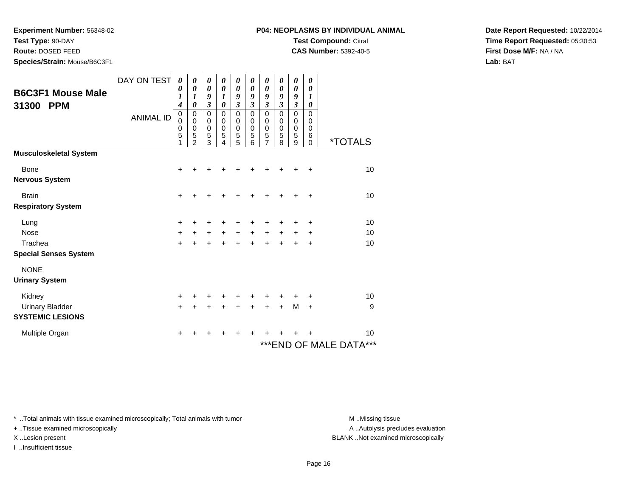**Test Type:** 90-DAY

**Route:** DOSED FEED

**Species/Strain:** Mouse/B6C3F1

#### **P04: NEOPLASMS BY INDIVIDUAL ANIMALTest Compound:** Citral

**CAS Number:** 5392-40-5

**Date Report Requested:** 10/22/2014**Time Report Requested:** 05:30:53**First Dose M/F:** NA / NA**Lab:** BAT

| <b>B6C3F1 Mouse Male</b><br>31300<br><b>PPM</b>   | DAY ON TEST<br><b>ANIMAL ID</b> | 0<br>0<br>$\boldsymbol{l}$<br>4<br>0<br>$\mathbf 0$<br>0<br>5<br>1 | 0<br>$\boldsymbol{\theta}$<br>$\boldsymbol{l}$<br>$\boldsymbol{\theta}$<br>$\pmb{0}$<br>$\mathbf 0$<br>$\mathbf 0$<br>5<br>$\mathfrak{p}$ | 0<br>0<br>9<br>$\mathfrak{z}$<br>$\mathbf 0$<br>0<br>$\mathbf 0$<br>5<br>3 | 0<br>$\boldsymbol{\theta}$<br>1<br>$\boldsymbol{\theta}$<br>$\mathbf 0$<br>0<br>$\mathbf 0$<br>5<br>4 | 0<br>$\boldsymbol{\theta}$<br>9<br>$\boldsymbol{\mathfrak{z}}$<br>$\mathbf 0$<br>0<br>$\boldsymbol{0}$<br>5<br>5 | 0<br>$\boldsymbol{\theta}$<br>9<br>$\boldsymbol{\mathfrak{z}}$<br>$\mathbf 0$<br>$\mathbf 0$<br>$\mathbf 0$<br>5<br>6 | 0<br>0<br>9<br>$\overline{\mathbf{3}}$<br>$\mathbf 0$<br>$\mathbf 0$<br>$\mathbf 0$<br>5<br>7 | 0<br>0<br>9<br>$\overline{\mathbf{3}}$<br>$\mathbf 0$<br>0<br>0<br>5<br>8 | 0<br>$\boldsymbol{\theta}$<br>9<br>$\boldsymbol{\mathfrak{z}}$<br>0<br>$\mathbf 0$<br>0<br>5<br>9 | 0<br>$\boldsymbol{\theta}$<br>1<br>0<br>0<br>0<br>0<br>6<br>$\Omega$ | <i><b>*TOTALS</b></i>              |
|---------------------------------------------------|---------------------------------|--------------------------------------------------------------------|-------------------------------------------------------------------------------------------------------------------------------------------|----------------------------------------------------------------------------|-------------------------------------------------------------------------------------------------------|------------------------------------------------------------------------------------------------------------------|-----------------------------------------------------------------------------------------------------------------------|-----------------------------------------------------------------------------------------------|---------------------------------------------------------------------------|---------------------------------------------------------------------------------------------------|----------------------------------------------------------------------|------------------------------------|
| <b>Musculoskeletal System</b>                     |                                 |                                                                    |                                                                                                                                           |                                                                            |                                                                                                       |                                                                                                                  |                                                                                                                       |                                                                                               |                                                                           |                                                                                                   |                                                                      |                                    |
| <b>Bone</b><br><b>Nervous System</b>              |                                 | +                                                                  |                                                                                                                                           |                                                                            |                                                                                                       |                                                                                                                  |                                                                                                                       |                                                                                               |                                                                           |                                                                                                   | +                                                                    | 10                                 |
| <b>Brain</b><br><b>Respiratory System</b>         |                                 | $\ddot{}$                                                          |                                                                                                                                           |                                                                            |                                                                                                       |                                                                                                                  |                                                                                                                       |                                                                                               |                                                                           |                                                                                                   | +                                                                    | 10                                 |
| Lung                                              |                                 | +                                                                  |                                                                                                                                           | ٠                                                                          | +                                                                                                     | ٠                                                                                                                |                                                                                                                       |                                                                                               |                                                                           |                                                                                                   | ٠                                                                    | 10                                 |
| <b>Nose</b><br>Trachea                            |                                 | $+$                                                                | $\ddot{}$                                                                                                                                 | $\ddot{}$                                                                  | $\ddot{}$                                                                                             | $\ddot{}$                                                                                                        | $+$                                                                                                                   | $\ddot{}$                                                                                     | $\ddot{}$                                                                 | +                                                                                                 | +                                                                    | 10<br>10                           |
| <b>Special Senses System</b>                      |                                 | $\ddot{}$                                                          | $\ddot{}$                                                                                                                                 | $\ddot{}$                                                                  | $\ddot{}$                                                                                             | $\ddot{}$                                                                                                        | $\ddot{}$                                                                                                             | $+$                                                                                           | $\ddot{}$                                                                 | $\ddot{}$                                                                                         | $\ddot{}$                                                            |                                    |
| <b>NONE</b><br><b>Urinary System</b>              |                                 |                                                                    |                                                                                                                                           |                                                                            |                                                                                                       |                                                                                                                  |                                                                                                                       |                                                                                               |                                                                           |                                                                                                   |                                                                      |                                    |
| Kidney                                            |                                 | $\ddot{}$                                                          |                                                                                                                                           | +                                                                          | +                                                                                                     | +                                                                                                                |                                                                                                                       | +                                                                                             |                                                                           | +                                                                                                 | +                                                                    | 10                                 |
| <b>Urinary Bladder</b><br><b>SYSTEMIC LESIONS</b> |                                 | $\ddot{}$                                                          |                                                                                                                                           |                                                                            | ÷                                                                                                     | +                                                                                                                | +                                                                                                                     | $\pm$                                                                                         | $\ddot{}$                                                                 | M                                                                                                 | $\ddot{}$                                                            | 9                                  |
| Multiple Organ                                    |                                 | $\pm$                                                              |                                                                                                                                           | ٠                                                                          | ٠                                                                                                     | ٠                                                                                                                | ٠                                                                                                                     | +                                                                                             |                                                                           |                                                                                                   |                                                                      | 10<br>***<br>*** END OF MALE DATA® |

\* ..Total animals with tissue examined microscopically; Total animals with tumor **M** . Missing tissue M ..Missing tissue

+ ..Tissue examined microscopically

I ..Insufficient tissue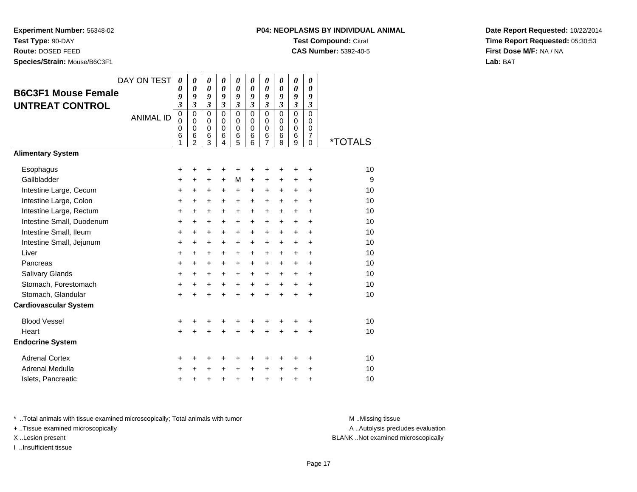**Experiment Number:** 56348-02**Test Type:** 90-DAY

**Route:** DOSED FEED

**Species/Strain:** Mouse/B6C3F1

## **P04: NEOPLASMS BY INDIVIDUAL ANIMALTest Compound:** Citral

**CAS Number:** 5392-40-5

**Date Report Requested:** 10/22/2014**Time Report Requested:** 05:30:53**First Dose M/F:** NA / NA**Lab:** BAT

| <b>B6C3F1 Mouse Female</b><br><b>UNTREAT CONTROL</b> | DAY ON TEST<br><b>ANIMAL ID</b> | 0<br>0<br>9<br>3<br>$\mathbf 0$<br>0<br>0<br>6<br>1 | 0<br>0<br>9<br>$\mathfrak{z}$<br>$\Omega$<br>$\mathbf 0$<br>0<br>6<br>$\overline{2}$ | 0<br>$\boldsymbol{\theta}$<br>9<br>$\mathfrak{z}$<br>$\Omega$<br>$\mathbf 0$<br>0<br>6<br>3 | 0<br>0<br>9<br>$\mathfrak{z}$<br>$\Omega$<br>$\mathbf 0$<br>$\mathbf 0$<br>6<br>4 | 0<br>$\boldsymbol{\theta}$<br>9<br>$\mathfrak{z}$<br>$\mathbf 0$<br>$\mathbf 0$<br>$\mathbf 0$<br>6<br>5 | 0<br>0<br>9<br>$\mathfrak{z}$<br>$\Omega$<br>0<br>0<br>6<br>6 | 0<br>$\boldsymbol{\theta}$<br>9<br>$\mathfrak{z}$<br>$\mathbf 0$<br>$\mathbf 0$<br>$\mathbf 0$<br>6<br>$\overline{7}$ | 0<br>0<br>9<br>$\mathfrak{z}$<br>$\mathbf 0$<br>$\mathbf 0$<br>0<br>6<br>8 | 0<br>$\boldsymbol{\theta}$<br>9<br>$\mathfrak{z}$<br>$\mathbf 0$<br>$\mathbf 0$<br>0<br>6<br>9 | 0<br>0<br>9<br>$\boldsymbol{\beta}$<br>$\Omega$<br>0<br>0<br>7<br>$\Omega$ | <i><b>*TOTALS</b></i> |
|------------------------------------------------------|---------------------------------|-----------------------------------------------------|--------------------------------------------------------------------------------------|---------------------------------------------------------------------------------------------|-----------------------------------------------------------------------------------|----------------------------------------------------------------------------------------------------------|---------------------------------------------------------------|-----------------------------------------------------------------------------------------------------------------------|----------------------------------------------------------------------------|------------------------------------------------------------------------------------------------|----------------------------------------------------------------------------|-----------------------|
| <b>Alimentary System</b>                             |                                 |                                                     |                                                                                      |                                                                                             |                                                                                   |                                                                                                          |                                                               |                                                                                                                       |                                                                            |                                                                                                |                                                                            |                       |
| Esophagus                                            |                                 | +                                                   | +                                                                                    | +                                                                                           | +                                                                                 | +                                                                                                        | +                                                             | +                                                                                                                     | +                                                                          | +                                                                                              | +                                                                          | 10                    |
| Gallbladder                                          |                                 | $\ddot{}$                                           | $\ddot{}$                                                                            | $\ddot{}$                                                                                   | $+$                                                                               | M                                                                                                        | $\ddot{}$                                                     | +                                                                                                                     | +                                                                          | +                                                                                              | ÷                                                                          | 9                     |
| Intestine Large, Cecum                               |                                 | +                                                   | +                                                                                    | $\ddot{}$                                                                                   | $\ddot{}$                                                                         | +                                                                                                        | +                                                             | +                                                                                                                     | +                                                                          | $\ddot{}$                                                                                      | +                                                                          | 10                    |
| Intestine Large, Colon                               |                                 | +                                                   | +                                                                                    | $\ddot{}$                                                                                   | $\ddot{}$                                                                         | $\ddot{}$                                                                                                | $\ddot{}$                                                     | +                                                                                                                     | $\ddot{}$                                                                  | $\ddot{}$                                                                                      | $\ddot{}$                                                                  | 10                    |
| Intestine Large, Rectum                              |                                 | +                                                   | $\ddot{}$                                                                            | +                                                                                           | $\ddot{}$                                                                         | $\ddot{}$                                                                                                | $\ddot{}$                                                     | +                                                                                                                     | $\ddot{}$                                                                  | $\ddot{}$                                                                                      | +                                                                          | 10                    |
| Intestine Small, Duodenum                            |                                 | +                                                   | $\ddot{}$                                                                            | $\ddot{}$                                                                                   | $\ddot{}$                                                                         | +                                                                                                        | $\ddot{}$                                                     | $\ddot{}$                                                                                                             | $\ddot{}$                                                                  | $\ddot{}$                                                                                      | $\ddot{}$                                                                  | 10                    |
| Intestine Small, Ileum                               |                                 | $\ddot{}$                                           | $\ddot{}$                                                                            | $\ddot{}$                                                                                   | $\ddot{}$                                                                         | $\ddot{}$                                                                                                | $\ddot{}$                                                     | $\ddot{}$                                                                                                             | $\ddot{}$                                                                  | $\ddot{}$                                                                                      | $\ddot{}$                                                                  | 10                    |
| Intestine Small, Jejunum                             |                                 | $\ddot{}$                                           | $\ddot{}$                                                                            | $\ddot{}$                                                                                   | $\ddot{}$                                                                         | $\ddot{}$                                                                                                | $\ddot{}$                                                     | $\ddot{}$                                                                                                             | $\ddot{}$                                                                  | $\ddot{}$                                                                                      | $\ddot{}$                                                                  | 10                    |
| Liver                                                |                                 | $\ddot{}$                                           | $\ddot{}$                                                                            | $\ddot{}$                                                                                   | $\ddot{}$                                                                         | $\ddot{}$                                                                                                | $\ddot{}$                                                     | $\ddot{}$                                                                                                             | $\ddot{}$                                                                  | $\ddot{}$                                                                                      | $\ddot{}$                                                                  | 10                    |
| Pancreas                                             |                                 | $\ddot{}$                                           | $\ddot{}$                                                                            | $\ddot{}$                                                                                   | $\ddot{}$                                                                         | $\ddot{}$                                                                                                | $\ddot{}$                                                     | $\ddot{}$                                                                                                             | $+$                                                                        | $+$                                                                                            | $\ddot{}$                                                                  | 10                    |
| Salivary Glands                                      |                                 | +                                                   | $\ddot{}$                                                                            | $\ddot{}$                                                                                   | $+$                                                                               | $\ddot{}$                                                                                                | $\ddot{}$                                                     | $\ddot{}$                                                                                                             | $\ddot{}$                                                                  | $+$                                                                                            | $\ddot{}$                                                                  | 10                    |
| Stomach, Forestomach                                 |                                 | +                                                   | $\ddot{}$                                                                            | $\ddot{}$                                                                                   | $\ddot{}$                                                                         | $\ddot{}$                                                                                                | $\ddot{}$                                                     | $\ddot{}$                                                                                                             | $+$                                                                        | $\ddot{}$                                                                                      | $\ddot{}$                                                                  | 10                    |
| Stomach, Glandular                                   |                                 | $\ddot{}$                                           |                                                                                      | $\ddot{}$                                                                                   |                                                                                   | $\ddot{}$                                                                                                | $\ddot{}$                                                     | $\ddot{}$                                                                                                             | $\ddot{}$                                                                  | $\ddot{}$                                                                                      | $\ddot{}$                                                                  | 10                    |
| <b>Cardiovascular System</b>                         |                                 |                                                     |                                                                                      |                                                                                             |                                                                                   |                                                                                                          |                                                               |                                                                                                                       |                                                                            |                                                                                                |                                                                            |                       |
| <b>Blood Vessel</b>                                  |                                 | +                                                   | +                                                                                    | +                                                                                           |                                                                                   | +                                                                                                        | +                                                             | +                                                                                                                     |                                                                            |                                                                                                | +                                                                          | 10                    |
| Heart                                                |                                 | +                                                   |                                                                                      |                                                                                             |                                                                                   |                                                                                                          |                                                               | $\ddot{}$                                                                                                             |                                                                            |                                                                                                | $\ddot{}$                                                                  | 10                    |
| <b>Endocrine System</b>                              |                                 |                                                     |                                                                                      |                                                                                             |                                                                                   |                                                                                                          |                                                               |                                                                                                                       |                                                                            |                                                                                                |                                                                            |                       |
| <b>Adrenal Cortex</b>                                |                                 | +                                                   | ٠                                                                                    | +                                                                                           |                                                                                   | +                                                                                                        | +                                                             | +                                                                                                                     | +                                                                          | +                                                                                              | ٠                                                                          | 10                    |
| Adrenal Medulla                                      |                                 | ٠                                                   |                                                                                      | +                                                                                           |                                                                                   | +                                                                                                        | $\ddot{}$                                                     | +                                                                                                                     |                                                                            | +                                                                                              | +                                                                          | 10                    |
| Islets, Pancreatic                                   |                                 | +                                                   | +                                                                                    | +                                                                                           |                                                                                   | +                                                                                                        | +                                                             | +                                                                                                                     | +                                                                          | +                                                                                              | +                                                                          | 10                    |

\* ..Total animals with tissue examined microscopically; Total animals with tumor **M** . Missing tissue M ..Missing tissue

+ ..Tissue examined microscopically

I ..Insufficient tissue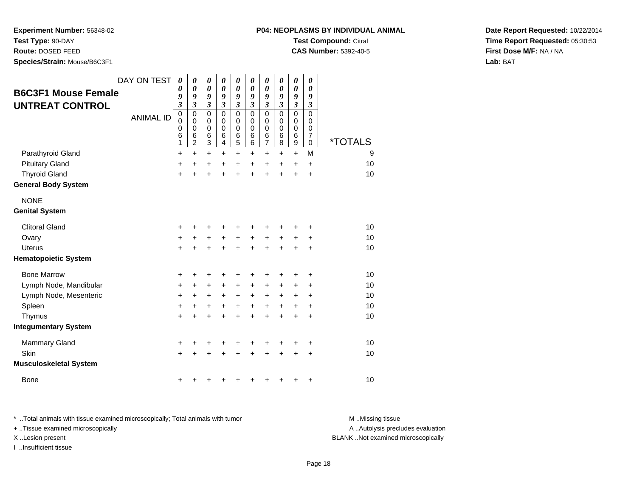**Test Type:** 90-DAY

**Route:** DOSED FEED

**Species/Strain:** Mouse/B6C3F1

| P04: NEOPLASMS BY INDIVIDUAL ANIMAL |  |
|-------------------------------------|--|
| <b>Test Compound: Citral</b>        |  |

**CAS Number:** 5392-40-5

**Date Report Requested:** 10/22/2014**Time Report Requested:** 05:30:53**First Dose M/F:** NA / NA**Lab:** BAT

| <b>B6C3F1 Mouse Female</b>    | DAY ON TEST      | $\boldsymbol{\theta}$<br>$\boldsymbol{\theta}$<br>9               | $\boldsymbol{\theta}$<br>0<br>9              | $\boldsymbol{\theta}$<br>$\boldsymbol{\theta}$<br>9                   | 0<br>$\boldsymbol{\theta}$<br>9                      | 0<br>0<br>9                     | 0<br>0<br>9                         | $\boldsymbol{\theta}$<br>0<br>9                     | $\boldsymbol{\theta}$<br>0<br>9     | $\boldsymbol{\theta}$<br>$\boldsymbol{\theta}$<br>9                    | 0<br>0<br>9                                         |                       |
|-------------------------------|------------------|-------------------------------------------------------------------|----------------------------------------------|-----------------------------------------------------------------------|------------------------------------------------------|---------------------------------|-------------------------------------|-----------------------------------------------------|-------------------------------------|------------------------------------------------------------------------|-----------------------------------------------------|-----------------------|
| <b>UNTREAT CONTROL</b>        |                  | $\mathfrak{z}$                                                    | $\mathfrak{z}$                               | $\mathfrak{z}$                                                        | $\mathfrak{z}$                                       | $\boldsymbol{\mathfrak{z}}$     | $\mathfrak{z}$                      | $\mathfrak{z}$                                      | $\boldsymbol{\beta}$                | $\boldsymbol{\beta}$                                                   | 3                                                   |                       |
|                               | <b>ANIMAL ID</b> | $\mathbf 0$<br>$\mathbf 0$<br>$\mathbf 0$<br>$6\phantom{1}6$<br>1 | $\mathbf 0$<br>0<br>0<br>6<br>$\overline{c}$ | $\mathbf 0$<br>$\mathbf 0$<br>0<br>$\,6$<br>$\ensuremath{\mathsf{3}}$ | $\Omega$<br>$\mathbf 0$<br>0<br>$6\phantom{1}6$<br>4 | $\mathbf 0$<br>0<br>0<br>6<br>5 | $\Omega$<br>$\Omega$<br>0<br>6<br>6 | $\Omega$<br>$\mathbf 0$<br>0<br>6<br>$\overline{7}$ | $\Omega$<br>$\Omega$<br>0<br>6<br>8 | $\mathbf 0$<br>0<br>$\mathbf 0$<br>$6\phantom{1}6$<br>$\boldsymbol{9}$ | $\Omega$<br>0<br>0<br>$\overline{7}$<br>$\mathbf 0$ | <i><b>*TOTALS</b></i> |
| Parathyroid Gland             |                  | +                                                                 | $\ddot{}$                                    | +                                                                     | $\ddot{}$                                            | +                               | +                                   | +                                                   | +                                   | $\ddot{}$                                                              | M                                                   | 9                     |
| <b>Pituitary Gland</b>        |                  | $\ddot{}$                                                         | $\ddot{}$                                    | +                                                                     | +                                                    | +                               | $\ddot{}$                           | $\ddot{}$                                           | $\ddot{}$                           | $\ddot{}$                                                              | $\ddot{}$                                           | 10                    |
| <b>Thyroid Gland</b>          |                  | $\ddot{}$                                                         |                                              | $\ddot{}$                                                             | $\ddot{}$                                            | $\ddot{}$                       | $\ddot{}$                           | $\ddot{}$                                           | $\ddot{}$                           | $\ddot{}$                                                              | $\ddot{}$                                           | 10                    |
| <b>General Body System</b>    |                  |                                                                   |                                              |                                                                       |                                                      |                                 |                                     |                                                     |                                     |                                                                        |                                                     |                       |
| <b>NONE</b>                   |                  |                                                                   |                                              |                                                                       |                                                      |                                 |                                     |                                                     |                                     |                                                                        |                                                     |                       |
| <b>Genital System</b>         |                  |                                                                   |                                              |                                                                       |                                                      |                                 |                                     |                                                     |                                     |                                                                        |                                                     |                       |
| <b>Clitoral Gland</b>         |                  | $\ddot{}$                                                         |                                              |                                                                       |                                                      |                                 |                                     | +                                                   |                                     |                                                                        | +                                                   | 10                    |
| Ovary                         |                  | +                                                                 | +                                            | $\ddot{}$                                                             | $\ddot{}$                                            | $\ddot{}$                       | $\ddot{}$                           | +                                                   | +                                   | +                                                                      | ٠                                                   | 10                    |
| <b>Uterus</b>                 |                  | $\ddot{}$                                                         | +                                            | $\ddot{}$                                                             | $\ddot{}$                                            | $\ddot{}$                       | $\ddot{}$                           | $\ddot{}$                                           | $\ddot{}$                           | $\ddot{}$                                                              | $\ddot{}$                                           | 10                    |
| <b>Hematopoietic System</b>   |                  |                                                                   |                                              |                                                                       |                                                      |                                 |                                     |                                                     |                                     |                                                                        |                                                     |                       |
| <b>Bone Marrow</b>            |                  | +                                                                 | +                                            | +                                                                     | +                                                    | +                               | +                                   | +                                                   | +                                   | +                                                                      | +                                                   | 10                    |
| Lymph Node, Mandibular        |                  | $\ddot{}$                                                         | +                                            | $\ddot{}$                                                             | $\ddot{}$                                            | $\ddot{}$                       | $\ddot{}$                           | $\ddot{}$                                           | $\ddot{}$                           | $\ddot{}$                                                              | $\ddot{}$                                           | 10                    |
| Lymph Node, Mesenteric        |                  | +                                                                 | +                                            | +                                                                     | +                                                    | $\ddot{}$                       | $\ddot{}$                           | +                                                   | +                                   | +                                                                      | $\pm$                                               | 10                    |
| Spleen                        |                  | $\ddot{}$                                                         | +                                            | +                                                                     | +                                                    | +                               | $\ddot{}$                           | +                                                   | $\ddot{}$                           | $\ddot{}$                                                              | $\ddot{}$                                           | 10                    |
| Thymus                        |                  | $\pm$                                                             |                                              |                                                                       |                                                      | +                               | +                                   | $\ddot{}$                                           | $\ddot{}$                           | +                                                                      | $\pm$                                               | 10                    |
| <b>Integumentary System</b>   |                  |                                                                   |                                              |                                                                       |                                                      |                                 |                                     |                                                     |                                     |                                                                        |                                                     |                       |
| <b>Mammary Gland</b>          |                  | +                                                                 | +                                            | +                                                                     | +                                                    | +                               | +                                   | +                                                   | ٠                                   | +                                                                      | +                                                   | 10                    |
| Skin                          |                  | $\ddot{}$                                                         |                                              |                                                                       |                                                      |                                 |                                     | +                                                   |                                     | +                                                                      | $\ddot{}$                                           | 10                    |
| <b>Musculoskeletal System</b> |                  |                                                                   |                                              |                                                                       |                                                      |                                 |                                     |                                                     |                                     |                                                                        |                                                     |                       |
| <b>Bone</b>                   |                  | +                                                                 |                                              |                                                                       |                                                      |                                 |                                     | +                                                   | +                                   | +                                                                      | +                                                   | 10                    |

\* ..Total animals with tissue examined microscopically; Total animals with tumor **M** ..Missing tissue M ..Missing tissue A ..Autolysis precludes evaluation + ..Tissue examined microscopically X ..Lesion present BLANK ..Not examined microscopicallyI ..Insufficient tissue

Page 18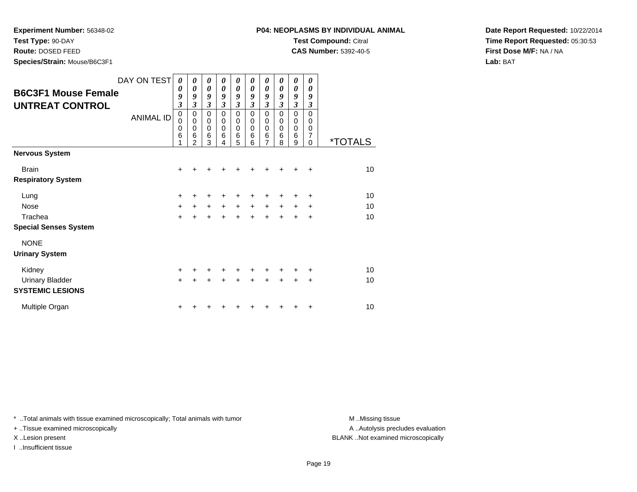**Test Type:** 90-DAY

**Route:** DOSED FEED

**Species/Strain:** Mouse/B6C3F1

**CAS Number:** 5392-40-5

**Date Report Requested:** 10/22/2014**Time Report Requested:** 05:30:53**First Dose M/F:** NA / NA**Lab:** BAT

| <b>B6C3F1 Mouse Female</b><br><b>UNTREAT CONTROL</b> | DAY ON TEST<br><b>ANIMAL ID</b> | 0<br>0<br>9<br>3<br>$\mathbf 0$<br>0<br>0<br>6<br>1 | 0<br>0<br>9<br>3<br>0<br>0<br>0<br>6<br>$\overline{2}$ | 0<br>0<br>9<br>3<br>$\mathbf 0$<br>$\mathbf 0$<br>$\mathbf 0$<br>6<br>3 | 0<br>$\boldsymbol{\theta}$<br>9<br>3<br>$\mathbf 0$<br>$\mathbf 0$<br>$\mathbf 0$<br>6<br>4 | 0<br>0<br>9<br>$\mathfrak{z}$<br>$\pmb{0}$<br>$\mathbf 0$<br>$\mathbf 0$<br>6<br>5 | 0<br>$\boldsymbol{\theta}$<br>9<br>$\mathfrak{z}$<br>$\mathbf 0$<br>0<br>0<br>6<br>6 | 0<br>0<br>9<br>$\mathfrak{z}$<br>$\mathbf 0$<br>0<br>$\mathbf 0$<br>$6\phantom{1}6$<br>7 | 0<br>0<br>9<br>$\mathfrak{z}$<br>$\mathbf 0$<br>0<br>$\mathbf 0$<br>6<br>8 | 0<br>0<br>9<br>$\mathfrak{z}$<br>$\mathbf 0$<br>0<br>$\mathbf 0$<br>6<br>9 | 0<br>$\theta$<br>9<br>$\mathfrak{z}$<br>$\overline{0}$<br>$\Omega$<br>0<br>7<br>0 | <i><b>*TOTALS</b></i> |
|------------------------------------------------------|---------------------------------|-----------------------------------------------------|--------------------------------------------------------|-------------------------------------------------------------------------|---------------------------------------------------------------------------------------------|------------------------------------------------------------------------------------|--------------------------------------------------------------------------------------|------------------------------------------------------------------------------------------|----------------------------------------------------------------------------|----------------------------------------------------------------------------|-----------------------------------------------------------------------------------|-----------------------|
| <b>Nervous System</b>                                |                                 |                                                     |                                                        |                                                                         |                                                                                             |                                                                                    |                                                                                      |                                                                                          |                                                                            |                                                                            |                                                                                   |                       |
| <b>Brain</b>                                         |                                 | +                                                   | +                                                      | +                                                                       |                                                                                             |                                                                                    |                                                                                      |                                                                                          |                                                                            | +                                                                          | $\ddot{}$                                                                         | 10                    |
| <b>Respiratory System</b>                            |                                 |                                                     |                                                        |                                                                         |                                                                                             |                                                                                    |                                                                                      |                                                                                          |                                                                            |                                                                            |                                                                                   |                       |
| Lung                                                 |                                 | +                                                   | ٠                                                      | +                                                                       | +                                                                                           | +                                                                                  | ٠                                                                                    | ٠                                                                                        | +                                                                          | ٠                                                                          | ٠                                                                                 | 10                    |
| <b>Nose</b>                                          |                                 | $\ddot{}$                                           | $\ddot{}$                                              | $\ddot{}$                                                               | $+$                                                                                         | $+$                                                                                | $+$                                                                                  | $\ddot{}$                                                                                | $\ddot{}$                                                                  | $\ddot{}$                                                                  | ٠                                                                                 | 10                    |
| Trachea                                              |                                 | $+$                                                 | $\ddot{}$                                              | $+$                                                                     | $\ddot{}$                                                                                   | $+$                                                                                | $+$                                                                                  | $\ddot{}$                                                                                | $\ddot{}$                                                                  | ÷                                                                          | +                                                                                 | 10                    |
| <b>Special Senses System</b>                         |                                 |                                                     |                                                        |                                                                         |                                                                                             |                                                                                    |                                                                                      |                                                                                          |                                                                            |                                                                            |                                                                                   |                       |
| <b>NONE</b>                                          |                                 |                                                     |                                                        |                                                                         |                                                                                             |                                                                                    |                                                                                      |                                                                                          |                                                                            |                                                                            |                                                                                   |                       |
| <b>Urinary System</b>                                |                                 |                                                     |                                                        |                                                                         |                                                                                             |                                                                                    |                                                                                      |                                                                                          |                                                                            |                                                                            |                                                                                   |                       |
| Kidney                                               |                                 | $+$                                                 | ٠                                                      | ٠                                                                       | $\ddot{}$                                                                                   | $\ddot{}$                                                                          | $\ddot{}$                                                                            | $\ddot{}$                                                                                | ÷                                                                          | $\pm$                                                                      | ÷                                                                                 | 10                    |
| <b>Urinary Bladder</b>                               |                                 | $+$                                                 | +                                                      | $\ddot{}$                                                               | $\ddot{}$                                                                                   | $\ddot{}$                                                                          | $\ddot{}$                                                                            | $\ddot{}$                                                                                | $\ddot{}$                                                                  | $\ddot{}$                                                                  | +                                                                                 | 10                    |
| <b>SYSTEMIC LESIONS</b>                              |                                 |                                                     |                                                        |                                                                         |                                                                                             |                                                                                    |                                                                                      |                                                                                          |                                                                            |                                                                            |                                                                                   |                       |
| Multiple Organ                                       |                                 | $\ddot{}$                                           |                                                        |                                                                         |                                                                                             |                                                                                    |                                                                                      |                                                                                          |                                                                            |                                                                            | ٠                                                                                 | 10                    |

\* ..Total animals with tissue examined microscopically; Total animals with tumor **M** . Missing tissue M ..Missing tissue

+ ..Tissue examined microscopically

I ..Insufficient tissue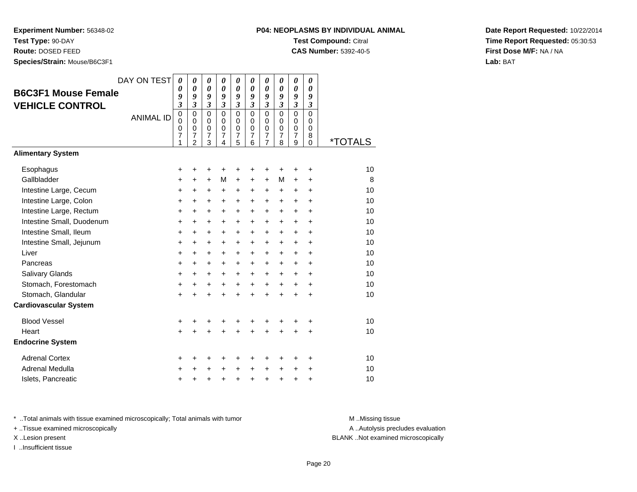**Experiment Number:** 56348-02**Test Type:** 90-DAY

**Route:** DOSED FEED

**Species/Strain:** Mouse/B6C3F1

# **P04: NEOPLASMS BY INDIVIDUAL ANIMALTest Compound:** Citral

**CAS Number:** 5392-40-5

**Date Report Requested:** 10/22/2014**Time Report Requested:** 05:30:53**First Dose M/F:** NA / NA**Lab:** BAT

| <b>B6C3F1 Mouse Female</b><br><b>VEHICLE CONTROL</b> | DAY ON TEST<br><b>ANIMAL ID</b> | 0<br>0<br>9<br>3<br>$\mathbf 0$<br>$\mathbf 0$<br>0<br>7<br>1 | 0<br>$\boldsymbol{\theta}$<br>9<br>3<br>$\mathbf 0$<br>$\mathbf 0$<br>0<br>$\overline{7}$<br>$\overline{c}$ | 0<br>$\boldsymbol{\theta}$<br>9<br>$\boldsymbol{\beta}$<br>$\mathbf 0$<br>$\Omega$<br>$\mathbf 0$<br>$\overline{7}$<br>3 | 0<br>$\boldsymbol{\theta}$<br>9<br>$\mathfrak{z}$<br>$\Omega$<br>$\Omega$<br>$\mathbf 0$<br>$\overline{7}$<br>4 | 0<br>$\boldsymbol{\theta}$<br>9<br>$\mathfrak{z}$<br>$\mathbf 0$<br>$\mathbf 0$<br>$\mathbf 0$<br>$\overline{\mathcal{I}}$<br>5 | 0<br>$\boldsymbol{\theta}$<br>9<br>$\mathfrak{z}$<br>$\mathbf 0$<br>$\Omega$<br>0<br>$\overline{7}$<br>6 | 0<br>0<br>9<br>$\mathfrak{z}$<br>0<br>$\mathbf 0$<br>0<br>$\overline{7}$<br>$\overline{7}$ | 0<br>0<br>9<br>$\mathfrak{z}$<br>$\Omega$<br>$\Omega$<br>0<br>$\overline{7}$<br>8 | 0<br>$\boldsymbol{\theta}$<br>9<br>$\mathfrak{z}$<br>$\mathbf 0$<br>$\mathbf 0$<br>$\pmb{0}$<br>$\overline{7}$<br>9 | 0<br>0<br>9<br>$\mathfrak{z}$<br>$\mathbf 0$<br>0<br>0<br>8<br>0 | <i><b>*TOTALS</b></i> |
|------------------------------------------------------|---------------------------------|---------------------------------------------------------------|-------------------------------------------------------------------------------------------------------------|--------------------------------------------------------------------------------------------------------------------------|-----------------------------------------------------------------------------------------------------------------|---------------------------------------------------------------------------------------------------------------------------------|----------------------------------------------------------------------------------------------------------|--------------------------------------------------------------------------------------------|-----------------------------------------------------------------------------------|---------------------------------------------------------------------------------------------------------------------|------------------------------------------------------------------|-----------------------|
| <b>Alimentary System</b>                             |                                 |                                                               |                                                                                                             |                                                                                                                          |                                                                                                                 |                                                                                                                                 |                                                                                                          |                                                                                            |                                                                                   |                                                                                                                     |                                                                  |                       |
| Esophagus                                            |                                 | +                                                             | +                                                                                                           | +                                                                                                                        | +                                                                                                               | +                                                                                                                               | +                                                                                                        | +                                                                                          | +                                                                                 | ÷                                                                                                                   | ÷                                                                | 10                    |
| Gallbladder                                          |                                 | $\ddot{}$                                                     | +                                                                                                           | $\ddot{}$                                                                                                                | М                                                                                                               | $\ddot{}$                                                                                                                       | $\ddot{}$                                                                                                | $\ddot{}$                                                                                  | М                                                                                 | $\ddot{}$                                                                                                           | $\ddot{}$                                                        | 8                     |
| Intestine Large, Cecum                               |                                 | +                                                             | +                                                                                                           | +                                                                                                                        | +                                                                                                               | +                                                                                                                               | +                                                                                                        | +                                                                                          | +                                                                                 | +                                                                                                                   | $\ddot{}$                                                        | 10                    |
| Intestine Large, Colon                               |                                 | +                                                             | $\pm$                                                                                                       | $\ddot{}$                                                                                                                | $\ddot{}$                                                                                                       | $\ddot{}$                                                                                                                       | $\pm$                                                                                                    | +                                                                                          | $\ddot{}$                                                                         | $\ddot{}$                                                                                                           | $\pm$                                                            | 10                    |
| Intestine Large, Rectum                              |                                 | $\ddot{}$                                                     | $\ddot{}$                                                                                                   | $\ddot{}$                                                                                                                | $\ddot{}$                                                                                                       | $\ddot{}$                                                                                                                       | +                                                                                                        | +                                                                                          | $\ddot{}$                                                                         | $\ddot{}$                                                                                                           | $\ddot{}$                                                        | 10                    |
| Intestine Small, Duodenum                            |                                 | $\ddot{}$                                                     | $\ddot{}$                                                                                                   | +                                                                                                                        | +                                                                                                               | $\ddot{}$                                                                                                                       | +                                                                                                        | $\ddot{}$                                                                                  | $\ddot{}$                                                                         | $\ddot{}$                                                                                                           | $\ddot{}$                                                        | 10                    |
| Intestine Small, Ileum                               |                                 | +                                                             | $\ddot{}$                                                                                                   | $\ddot{}$                                                                                                                | $\ddot{}$                                                                                                       | $\ddot{}$                                                                                                                       | $\ddot{}$                                                                                                | +                                                                                          | $\ddot{}$                                                                         | $\ddot{}$                                                                                                           | $\ddot{}$                                                        | 10                    |
| Intestine Small, Jejunum                             |                                 | +                                                             | $\pm$                                                                                                       | +                                                                                                                        | +                                                                                                               | $\ddot{}$                                                                                                                       | $\ddot{}$                                                                                                | $\ddot{}$                                                                                  | $\ddot{}$                                                                         | $\ddot{}$                                                                                                           | $\pm$                                                            | 10                    |
| Liver                                                |                                 | +                                                             | $\ddot{}$                                                                                                   | $\ddot{}$                                                                                                                | $\ddot{}$                                                                                                       | $\ddot{}$                                                                                                                       | $\ddot{}$                                                                                                | +                                                                                          | $\ddot{}$                                                                         | $+$                                                                                                                 | $\ddot{}$                                                        | 10                    |
| Pancreas                                             |                                 | +                                                             | +                                                                                                           | $\ddot{}$                                                                                                                | +                                                                                                               | +                                                                                                                               | +                                                                                                        | $\ddot{}$                                                                                  | $\ddot{}$                                                                         | $\ddot{}$                                                                                                           | $\ddot{}$                                                        | 10                    |
| Salivary Glands                                      |                                 | +                                                             | +                                                                                                           | +                                                                                                                        | $\ddot{}$                                                                                                       | $\ddot{}$                                                                                                                       | $\ddot{}$                                                                                                | $\ddot{}$                                                                                  | $\ddot{}$                                                                         | $\ddot{}$                                                                                                           | $\ddot{}$                                                        | 10                    |
| Stomach, Forestomach                                 |                                 | +                                                             | $\pm$                                                                                                       | +                                                                                                                        | $\ddot{}$                                                                                                       | $\ddot{}$                                                                                                                       | $\ddot{}$                                                                                                | $\ddot{}$                                                                                  | $\ddot{}$                                                                         | $\ddot{}$                                                                                                           | $\ddot{}$                                                        | 10                    |
| Stomach, Glandular                                   |                                 | $\ddot{}$                                                     | $\ddot{}$                                                                                                   | $\ddot{}$                                                                                                                |                                                                                                                 | $\ddot{}$                                                                                                                       | $\ddot{}$                                                                                                | $\ddot{}$                                                                                  | $\ddot{}$                                                                         | $+$                                                                                                                 | $\ddot{}$                                                        | 10                    |
| <b>Cardiovascular System</b>                         |                                 |                                                               |                                                                                                             |                                                                                                                          |                                                                                                                 |                                                                                                                                 |                                                                                                          |                                                                                            |                                                                                   |                                                                                                                     |                                                                  |                       |
| <b>Blood Vessel</b>                                  |                                 | +                                                             | +                                                                                                           | +                                                                                                                        | +                                                                                                               | +                                                                                                                               | +                                                                                                        | +                                                                                          | +                                                                                 | +                                                                                                                   | +                                                                | 10                    |
| Heart                                                |                                 | $\ddot{}$                                                     |                                                                                                             |                                                                                                                          |                                                                                                                 |                                                                                                                                 |                                                                                                          | $\ddot{}$                                                                                  |                                                                                   |                                                                                                                     | $\ddot{}$                                                        | 10                    |
| <b>Endocrine System</b>                              |                                 |                                                               |                                                                                                             |                                                                                                                          |                                                                                                                 |                                                                                                                                 |                                                                                                          |                                                                                            |                                                                                   |                                                                                                                     |                                                                  |                       |
| <b>Adrenal Cortex</b>                                |                                 | +                                                             | +                                                                                                           | +                                                                                                                        | +                                                                                                               | +                                                                                                                               | +                                                                                                        | +                                                                                          | +                                                                                 | ÷                                                                                                                   | $\ddot{}$                                                        | 10                    |
| <b>Adrenal Medulla</b>                               |                                 | +                                                             | +                                                                                                           | +                                                                                                                        |                                                                                                                 | $\ddot{}$                                                                                                                       | $\ddot{}$                                                                                                | $\ddot{}$                                                                                  | $\ddot{}$                                                                         | $\ddot{}$                                                                                                           | $\div$                                                           | 10                    |
| Islets, Pancreatic                                   |                                 | +                                                             | +                                                                                                           | +                                                                                                                        | +                                                                                                               | +                                                                                                                               | +                                                                                                        | +                                                                                          | $\ddot{}$                                                                         | +                                                                                                                   | +                                                                | 10                    |

\* ..Total animals with tissue examined microscopically; Total animals with tumor **M** . Missing tissue M ..Missing tissue

+ ..Tissue examined microscopically

I ..Insufficient tissue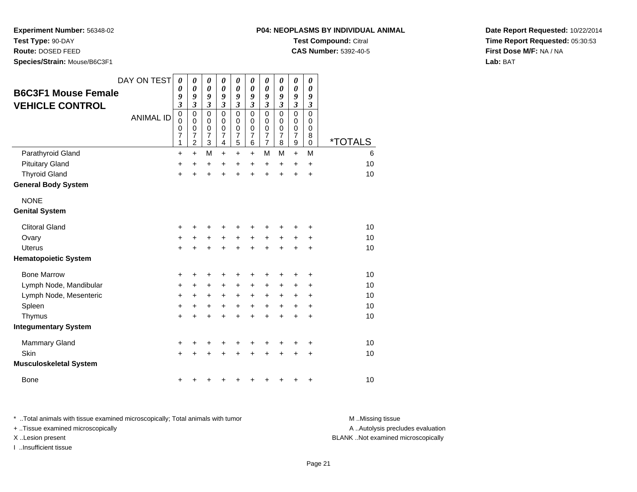**Test Type:** 90-DAY

**Route:** DOSED FEED

**Species/Strain:** Mouse/B6C3F1

| P04: NEOPLASMS BY INDIVIDUAL ANIMAL |
|-------------------------------------|
| <b>Test Compound: Citral</b>        |

**CAS Number:** 5392-40-5

**Date Report Requested:** 10/22/2014**Time Report Requested:** 05:30:53**First Dose M/F:** NA / NA**Lab:** BAT

| <b>B6C3F1 Mouse Female</b><br><b>VEHICLE CONTROL</b> | DAY ON TEST<br><b>ANIMAL ID</b> | 0<br>0<br>9<br>$\mathfrak{z}$<br>$\mathbf 0$<br>0<br>0<br>$\overline{7}$<br>1 | 0<br>0<br>9<br>3<br>$\mathbf 0$<br>0<br>$\mathbf 0$<br>7<br>$\overline{2}$ | 0<br>$\boldsymbol{\theta}$<br>9<br>$\mathfrak{z}$<br>$\mathbf 0$<br>0<br>$\mathbf 0$<br>$\overline{7}$<br>3 | 0<br>$\boldsymbol{\theta}$<br>9<br>$\mathfrak{z}$<br>$\Omega$<br>$\Omega$<br>0<br>$\overline{7}$<br>4 | 0<br>$\boldsymbol{\theta}$<br>9<br>$\mathfrak{z}$<br>$\mathbf 0$<br>0<br>0<br>$\overline{7}$<br>5 | 0<br>$\boldsymbol{\theta}$<br>9<br>$\overline{\mathbf{3}}$<br>$\mathbf 0$<br>0<br>0<br>$\overline{7}$<br>6 | 0<br>$\boldsymbol{\theta}$<br>9<br>$\overline{\mathbf{3}}$<br>$\mathbf 0$<br>0<br>$\boldsymbol{0}$<br>7<br>$\overline{7}$ | 0<br>0<br>9<br>$\overline{3}$<br>0<br>0<br>$\mathbf 0$<br>$\overline{7}$<br>8 | 0<br>$\pmb{\theta}$<br>9<br>$\overline{\mathbf{3}}$<br>$\mathbf 0$<br>$\mathbf 0$<br>0<br>$\overline{7}$<br>9 | 0<br>0<br>9<br>$\mathfrak{z}$<br>0<br>0<br>0<br>8<br>0 | <i><b>*TOTALS</b></i> |
|------------------------------------------------------|---------------------------------|-------------------------------------------------------------------------------|----------------------------------------------------------------------------|-------------------------------------------------------------------------------------------------------------|-------------------------------------------------------------------------------------------------------|---------------------------------------------------------------------------------------------------|------------------------------------------------------------------------------------------------------------|---------------------------------------------------------------------------------------------------------------------------|-------------------------------------------------------------------------------|---------------------------------------------------------------------------------------------------------------|--------------------------------------------------------|-----------------------|
| Parathyroid Gland                                    |                                 | $\ddot{}$                                                                     | $\ddot{}$                                                                  | M                                                                                                           | $\ddot{}$                                                                                             | $\ddot{}$                                                                                         | $+$                                                                                                        | M                                                                                                                         | M                                                                             | $+$                                                                                                           | M                                                      | 6                     |
| <b>Pituitary Gland</b>                               |                                 | $\ddot{}$                                                                     | $\ddot{}$                                                                  | +                                                                                                           | $\ddot{}$                                                                                             | +                                                                                                 | $\ddot{}$                                                                                                  | +                                                                                                                         | $\ddot{}$                                                                     | $\pm$                                                                                                         | $\ddot{}$                                              | 10                    |
| <b>Thyroid Gland</b>                                 |                                 | $+$                                                                           | $\ddot{}$                                                                  | $\ddot{}$                                                                                                   | $\ddot{}$                                                                                             | $\ddot{}$                                                                                         | $\ddot{}$                                                                                                  | $\ddot{}$                                                                                                                 | $\ddot{}$                                                                     | +                                                                                                             | +                                                      | 10                    |
| <b>General Body System</b>                           |                                 |                                                                               |                                                                            |                                                                                                             |                                                                                                       |                                                                                                   |                                                                                                            |                                                                                                                           |                                                                               |                                                                                                               |                                                        |                       |
| <b>NONE</b>                                          |                                 |                                                                               |                                                                            |                                                                                                             |                                                                                                       |                                                                                                   |                                                                                                            |                                                                                                                           |                                                                               |                                                                                                               |                                                        |                       |
| <b>Genital System</b>                                |                                 |                                                                               |                                                                            |                                                                                                             |                                                                                                       |                                                                                                   |                                                                                                            |                                                                                                                           |                                                                               |                                                                                                               |                                                        |                       |
| <b>Clitoral Gland</b>                                |                                 | +                                                                             |                                                                            | +                                                                                                           | +                                                                                                     | +                                                                                                 |                                                                                                            |                                                                                                                           |                                                                               |                                                                                                               | +                                                      | 10                    |
| Ovary                                                |                                 | $\ddot{}$                                                                     | +                                                                          | +                                                                                                           | +                                                                                                     | +                                                                                                 | $\ddot{}$                                                                                                  | +                                                                                                                         | +                                                                             | +                                                                                                             | +                                                      | 10                    |
| <b>Uterus</b>                                        |                                 | $\ddot{}$                                                                     |                                                                            | $\ddot{}$                                                                                                   | $\ddot{}$                                                                                             | $\ddot{}$                                                                                         |                                                                                                            | $\ddot{}$                                                                                                                 |                                                                               | $\ddot{}$                                                                                                     | $\ddot{}$                                              | 10                    |
| <b>Hematopoietic System</b>                          |                                 |                                                                               |                                                                            |                                                                                                             |                                                                                                       |                                                                                                   |                                                                                                            |                                                                                                                           |                                                                               |                                                                                                               |                                                        |                       |
| <b>Bone Marrow</b>                                   |                                 | +                                                                             | ٠                                                                          | +                                                                                                           | +                                                                                                     | +                                                                                                 | ٠                                                                                                          | +                                                                                                                         | +                                                                             | ٠                                                                                                             | ٠                                                      | 10                    |
| Lymph Node, Mandibular                               |                                 | $\ddot{}$                                                                     | $\ddot{}$                                                                  | $\ddot{}$                                                                                                   | $\ddot{}$                                                                                             | $\ddot{}$                                                                                         | $\ddot{}$                                                                                                  | $\ddot{}$                                                                                                                 |                                                                               | +                                                                                                             | +                                                      | 10                    |
| Lymph Node, Mesenteric                               |                                 | $\ddot{}$                                                                     | +                                                                          | $\ddot{}$                                                                                                   | $\ddot{}$                                                                                             | $\ddot{}$                                                                                         | $\ddot{}$                                                                                                  | $\ddot{}$                                                                                                                 | $\ddot{}$                                                                     | +                                                                                                             | +                                                      | 10                    |
| Spleen                                               |                                 | $\ddot{}$                                                                     | +                                                                          | +                                                                                                           | $\ddot{}$                                                                                             | $\ddot{}$                                                                                         | $\ddot{}$                                                                                                  | $\ddot{}$                                                                                                                 | $\ddot{}$                                                                     | $\ddot{}$                                                                                                     | $\ddot{}$                                              | 10                    |
| Thymus                                               |                                 | $\ddot{}$                                                                     | $\ddot{}$                                                                  | $\ddot{}$                                                                                                   | $\ddot{}$                                                                                             | $\ddot{}$                                                                                         | $\ddot{}$                                                                                                  | $\ddot{}$                                                                                                                 | $\ddot{}$                                                                     | +                                                                                                             | $\ddot{}$                                              | 10                    |
| <b>Integumentary System</b>                          |                                 |                                                                               |                                                                            |                                                                                                             |                                                                                                       |                                                                                                   |                                                                                                            |                                                                                                                           |                                                                               |                                                                                                               |                                                        |                       |
| <b>Mammary Gland</b>                                 |                                 | +                                                                             | +                                                                          | +                                                                                                           | +                                                                                                     | +                                                                                                 | +                                                                                                          | +                                                                                                                         | ٠                                                                             | +                                                                                                             | +                                                      | 10                    |
| Skin                                                 |                                 | $\ddot{}$                                                                     |                                                                            |                                                                                                             |                                                                                                       | +                                                                                                 |                                                                                                            | +                                                                                                                         |                                                                               | +                                                                                                             | +                                                      | 10                    |
| <b>Musculoskeletal System</b>                        |                                 |                                                                               |                                                                            |                                                                                                             |                                                                                                       |                                                                                                   |                                                                                                            |                                                                                                                           |                                                                               |                                                                                                               |                                                        |                       |
| <b>Bone</b>                                          |                                 | +                                                                             |                                                                            | ٠                                                                                                           | ٠                                                                                                     | ٠                                                                                                 |                                                                                                            |                                                                                                                           |                                                                               | +                                                                                                             | +                                                      | 10                    |

\* ..Total animals with tissue examined microscopically; Total animals with tumor **M** ..Missing tissue M ..Missing tissue + ..Tissue examined microscopically

I ..Insufficient tissue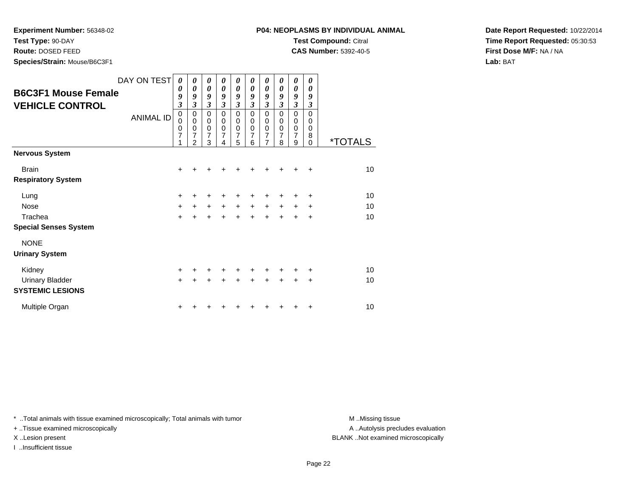**Test Type:** 90-DAY

**Route:** DOSED FEED

**Species/Strain:** Mouse/B6C3F1

**CAS Number:** 5392-40-5

**Date Report Requested:** 10/22/2014**Time Report Requested:** 05:30:53**First Dose M/F:** NA / NA**Lab:** BAT

|                              | DAY ON TEST      | 0                          | 0                     | 0                          | 0                     | 0                        | 0                | 0                        | 0         | 0                | 0                     |                       |
|------------------------------|------------------|----------------------------|-----------------------|----------------------------|-----------------------|--------------------------|------------------|--------------------------|-----------|------------------|-----------------------|-----------------------|
| <b>B6C3F1 Mouse Female</b>   |                  | 0                          | $\boldsymbol{\theta}$ | $\boldsymbol{\theta}$      | $\boldsymbol{\theta}$ | $\boldsymbol{\theta}$    | 0                | 0                        | 0         | 0                | $\boldsymbol{\theta}$ |                       |
|                              |                  | 9                          | 9                     | 9                          | 9                     | 9                        | 9                | 9                        | 9         | 9                | 9                     |                       |
| <b>VEHICLE CONTROL</b>       |                  | $\overline{\mathbf{3}}$    | 3                     | $\mathfrak{z}$             | 3                     | $\boldsymbol{\beta}$     | $\mathfrak{z}$   | $\mathfrak{z}$           | 3         | $\mathfrak{z}$   | 3                     |                       |
|                              | <b>ANIMAL ID</b> | $\mathbf 0$<br>$\mathbf 0$ | 0<br>$\mathbf 0$      | $\mathbf 0$<br>$\mathbf 0$ | 0<br>$\mathbf 0$      | $\mathbf 0$<br>$\pmb{0}$ | $\mathbf 0$<br>0 | $\mathbf 0$<br>$\pmb{0}$ | 0<br>0    | $\mathbf 0$<br>0 | $\Omega$<br>$\Omega$  |                       |
|                              |                  | 0                          | 0                     | $\pmb{0}$                  | $\mathbf 0$           | $\mathbf 0$              | $\mathbf 0$      | $\mathbf 0$              | 0         | 0                | $\Omega$              |                       |
|                              |                  | 7                          | 7                     | 7                          | 7                     | 7                        | 7                | 7                        | 7         | 7                | 8                     |                       |
|                              |                  | 1                          | $\overline{2}$        | 3                          | 4                     | 5                        | 6                | $\overline{7}$           | 8         | 9                | $\Omega$              | <i><b>*TOTALS</b></i> |
| <b>Nervous System</b>        |                  |                            |                       |                            |                       |                          |                  |                          |           |                  |                       |                       |
| <b>Brain</b>                 |                  | +                          |                       |                            |                       |                          |                  |                          |           | +                | $\ddot{}$             | 10                    |
| <b>Respiratory System</b>    |                  |                            |                       |                            |                       |                          |                  |                          |           |                  |                       |                       |
| Lung                         |                  | +                          | +                     | +                          | +                     | +                        | ٠                | +                        | +         | ٠                | ÷                     | 10                    |
| Nose                         |                  | $\ddot{}$                  | $+$                   | $+$                        | $+$                   | $+$                      | $+$              | $\ddot{}$                | $\ddot{}$ | $\pm$            | $\ddot{}$             | 10                    |
| Trachea                      |                  | $\ddot{}$                  | $\ddot{}$             | $\ddot{}$                  | $\ddot{}$             | $+$                      | $\ddot{}$        | $\ddot{}$                | ÷         | $\ddot{}$        | $\ddot{}$             | 10                    |
| <b>Special Senses System</b> |                  |                            |                       |                            |                       |                          |                  |                          |           |                  |                       |                       |
| <b>NONE</b>                  |                  |                            |                       |                            |                       |                          |                  |                          |           |                  |                       |                       |
| <b>Urinary System</b>        |                  |                            |                       |                            |                       |                          |                  |                          |           |                  |                       |                       |
| Kidney                       |                  | $\ddot{}$                  | +                     | $\ddot{}$                  | $\ddot{}$             | $\ddot{}$                | $\ddot{}$        | $\ddot{}$                | ٠         | ÷                | ÷                     | 10                    |
| <b>Urinary Bladder</b>       |                  | $\ddot{}$                  | $\ddot{}$             | $\ddot{}$                  | $\ddot{}$             | $\ddot{}$                | $\ddot{}$        | $\ddot{}$                | $\ddot{}$ | $\ddot{}$        | $\ddot{}$             | 10                    |
| <b>SYSTEMIC LESIONS</b>      |                  |                            |                       |                            |                       |                          |                  |                          |           |                  |                       |                       |
| Multiple Organ               |                  | +                          |                       |                            |                       |                          |                  |                          |           |                  | ٠                     | 10                    |

\* ..Total animals with tissue examined microscopically; Total animals with tumor **M** . Missing tissue M ..Missing tissue

+ ..Tissue examined microscopically

I ..Insufficient tissue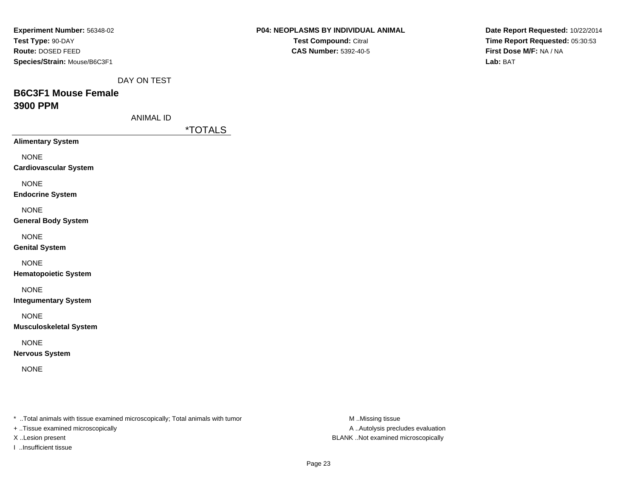| Experiment Number: 56348-02                                                     | P04: NEOPLASMS BY INDIVIDUAL ANIMAL | Date Report Requested: 10/22/2014 |
|---------------------------------------------------------------------------------|-------------------------------------|-----------------------------------|
| Test Type: 90-DAY                                                               | Test Compound: Citral               | Time Report Requested: 05:30:53   |
| Route: DOSED FEED                                                               | <b>CAS Number: 5392-40-5</b>        | First Dose M/F: NA / NA           |
| Species/Strain: Mouse/B6C3F1                                                    |                                     | Lab: BAT                          |
| DAY ON TEST                                                                     |                                     |                                   |
| <b>B6C3F1 Mouse Female</b>                                                      |                                     |                                   |
| 3900 PPM                                                                        |                                     |                                   |
| <b>ANIMAL ID</b>                                                                |                                     |                                   |
| <i><b>*TOTALS</b></i>                                                           |                                     |                                   |
| <b>Alimentary System</b>                                                        |                                     |                                   |
| <b>NONE</b>                                                                     |                                     |                                   |
| <b>Cardiovascular System</b>                                                    |                                     |                                   |
| <b>NONE</b>                                                                     |                                     |                                   |
| <b>Endocrine System</b>                                                         |                                     |                                   |
| <b>NONE</b>                                                                     |                                     |                                   |
| <b>General Body System</b>                                                      |                                     |                                   |
| <b>NONE</b>                                                                     |                                     |                                   |
| <b>Genital System</b>                                                           |                                     |                                   |
| <b>NONE</b>                                                                     |                                     |                                   |
| <b>Hematopoietic System</b>                                                     |                                     |                                   |
| <b>NONE</b>                                                                     |                                     |                                   |
| <b>Integumentary System</b>                                                     |                                     |                                   |
| <b>NONE</b>                                                                     |                                     |                                   |
| <b>Musculoskeletal System</b>                                                   |                                     |                                   |
| <b>NONE</b>                                                                     |                                     |                                   |
| <b>Nervous System</b>                                                           |                                     |                                   |
| <b>NONE</b>                                                                     |                                     |                                   |
|                                                                                 |                                     |                                   |
|                                                                                 |                                     |                                   |
|                                                                                 |                                     |                                   |
| *  Total animals with tissue examined microscopically; Total animals with tumor | M Missing tissue                    |                                   |
| + Tissue examined microscopically                                               | A Autolysis precludes evaluation    |                                   |

X ..Lesion present BLANK ..Not examined microscopically

I ..Insufficient tissue

Page 23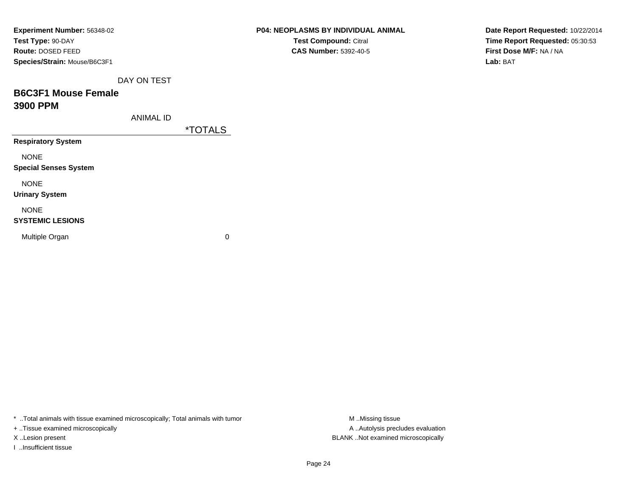| Experiment Number: 56348-02  |                       | P04: NEOPLASMS BY INDIVIDUAL ANIMAL | Date Report Requested: 10/22/2014 |
|------------------------------|-----------------------|-------------------------------------|-----------------------------------|
| Test Type: 90-DAY            |                       | Test Compound: Citral               | Time Report Requested: 05:30:53   |
| Route: DOSED FEED            |                       | <b>CAS Number: 5392-40-5</b>        | First Dose M/F: NA / NA           |
| Species/Strain: Mouse/B6C3F1 |                       |                                     | Lab: BAT                          |
| DAY ON TEST                  |                       |                                     |                                   |
| <b>B6C3F1 Mouse Female</b>   |                       |                                     |                                   |
| 3900 PPM                     |                       |                                     |                                   |
| <b>ANIMAL ID</b>             |                       |                                     |                                   |
|                              | <i><b>*TOTALS</b></i> |                                     |                                   |
| <b>Respiratory System</b>    |                       |                                     |                                   |
| <b>NONE</b>                  |                       |                                     |                                   |
| <b>Special Senses System</b> |                       |                                     |                                   |
| <b>NONE</b>                  |                       |                                     |                                   |
| <b>Urinary System</b>        |                       |                                     |                                   |
| <b>NONE</b>                  |                       |                                     |                                   |
| <b>SYSTEMIC LESIONS</b>      |                       |                                     |                                   |
| Multiple Organ               | 0                     |                                     |                                   |
|                              |                       |                                     |                                   |
|                              |                       |                                     |                                   |

\* ..Total animals with tissue examined microscopically; Total animals with tumor M..Missing tissue M ..Missing tissue

+ ..Tissue examined microscopically

I ..Insufficient tissue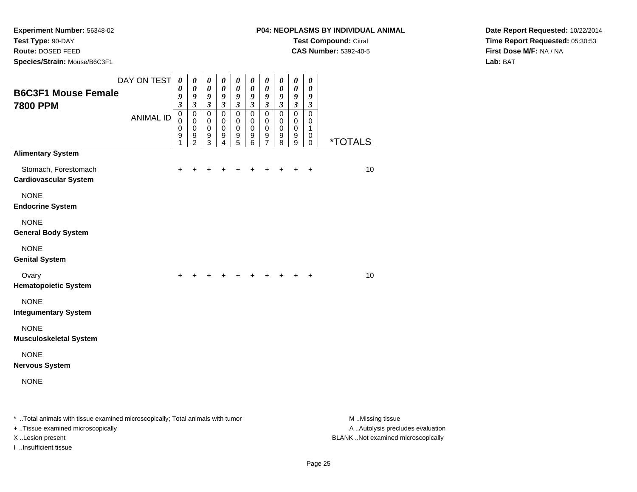**Test Type:** 90-DAY

**Route:** DOSED FEED

**Species/Strain:** Mouse/B6C3F1

**CAS Number:** 5392-40-5

**Date Report Requested:** 10/22/2014**Time Report Requested:** 05:30:53**First Dose M/F:** NA / NA**Lab:** BAT

| <b>B6C3F1 Mouse Female</b><br><b>7800 PPM</b>                                  | DAY ON TEST      | $\boldsymbol{\theta}$<br>0<br>9<br>$\boldsymbol{\beta}$ | 0<br>$\boldsymbol{\theta}$<br>9<br>$\boldsymbol{\beta}$          | 0<br>$\boldsymbol{\theta}$<br>9<br>$\boldsymbol{\beta}$        | 0<br>$\pmb{\theta}$<br>9<br>$\boldsymbol{\beta}$    | $\pmb{\theta}$<br>$\boldsymbol{\theta}$<br>9<br>$\boldsymbol{\beta}$ | 0<br>0<br>9<br>$\mathfrak{z}$          | $\boldsymbol{\theta}$<br>$\boldsymbol{\theta}$<br>9<br>$\boldsymbol{\beta}$ | 0<br>0<br>9<br>$\boldsymbol{\beta}$    | $\pmb{\theta}$<br>$\pmb{\theta}$<br>9<br>$\boldsymbol{\beta}$ | 0<br>0<br>9<br>$\boldsymbol{\beta}$              |                       |
|--------------------------------------------------------------------------------|------------------|---------------------------------------------------------|------------------------------------------------------------------|----------------------------------------------------------------|-----------------------------------------------------|----------------------------------------------------------------------|----------------------------------------|-----------------------------------------------------------------------------|----------------------------------------|---------------------------------------------------------------|--------------------------------------------------|-----------------------|
|                                                                                | <b>ANIMAL ID</b> | $\mathbf 0$<br>$\Omega$<br>$\mathbf 0$<br>9<br>1        | $\mathbf 0$<br>$\mathbf 0$<br>$\mathbf 0$<br>9<br>$\overline{2}$ | $\mathbf 0$<br>$\mathbf 0$<br>$\pmb{0}$<br>9<br>$\overline{3}$ | $\mathbf 0$<br>$\mathbf 0$<br>$\mathbf 0$<br>9<br>4 | $\mathbf 0$<br>$\mathbf 0$<br>$\mathbf 0$<br>9<br>$\overline{5}$     | $\Omega$<br>0<br>$\mathbf 0$<br>9<br>6 | $\mathbf 0$<br>0<br>$\mathbf 0$<br>9<br>$\overline{7}$                      | $\Omega$<br>0<br>$\mathbf 0$<br>9<br>8 | $\mathbf 0$<br>0<br>0<br>9<br>$\overline{9}$                  | $\Omega$<br>$\mathbf 0$<br>1<br>0<br>$\mathbf 0$ | <i><b>*TOTALS</b></i> |
| <b>Alimentary System</b>                                                       |                  |                                                         |                                                                  |                                                                |                                                     |                                                                      |                                        |                                                                             |                                        |                                                               |                                                  |                       |
| Stomach, Forestomach<br><b>Cardiovascular System</b>                           |                  | $\ddot{}$                                               | +                                                                | $\pm$                                                          | $\pm$                                               | +                                                                    | +                                      | +                                                                           | ٠                                      | ٠                                                             | $\ddot{}$                                        | 10                    |
| <b>NONE</b><br><b>Endocrine System</b>                                         |                  |                                                         |                                                                  |                                                                |                                                     |                                                                      |                                        |                                                                             |                                        |                                                               |                                                  |                       |
| <b>NONE</b><br><b>General Body System</b>                                      |                  |                                                         |                                                                  |                                                                |                                                     |                                                                      |                                        |                                                                             |                                        |                                                               |                                                  |                       |
| <b>NONE</b><br><b>Genital System</b>                                           |                  |                                                         |                                                                  |                                                                |                                                     |                                                                      |                                        |                                                                             |                                        |                                                               |                                                  |                       |
| Ovary<br><b>Hematopoietic System</b>                                           |                  | $\ddot{}$                                               | +                                                                | ÷                                                              | +                                                   | ÷.                                                                   | ٠                                      | ٠                                                                           |                                        | ÷                                                             | $\ddot{}$                                        | 10                    |
| <b>NONE</b><br><b>Integumentary System</b>                                     |                  |                                                         |                                                                  |                                                                |                                                     |                                                                      |                                        |                                                                             |                                        |                                                               |                                                  |                       |
| <b>NONE</b><br><b>Musculoskeletal System</b>                                   |                  |                                                         |                                                                  |                                                                |                                                     |                                                                      |                                        |                                                                             |                                        |                                                               |                                                  |                       |
| <b>NONE</b><br><b>Nervous System</b>                                           |                  |                                                         |                                                                  |                                                                |                                                     |                                                                      |                                        |                                                                             |                                        |                                                               |                                                  |                       |
| <b>NONE</b>                                                                    |                  |                                                         |                                                                  |                                                                |                                                     |                                                                      |                                        |                                                                             |                                        |                                                               |                                                  |                       |
| * Total animals with tissue examined microscopically: Total animals with tumor |                  |                                                         |                                                                  |                                                                |                                                     |                                                                      |                                        |                                                                             |                                        |                                                               |                                                  | M Missir              |

..Total animals with tissue examined microscopically; Total animals with tumor M ..Missing tissue A ..Autolysis precludes evaluation + ..Tissue examined microscopically X ..Lesion present BLANK ..Not examined microscopicallyI ..Insufficient tissue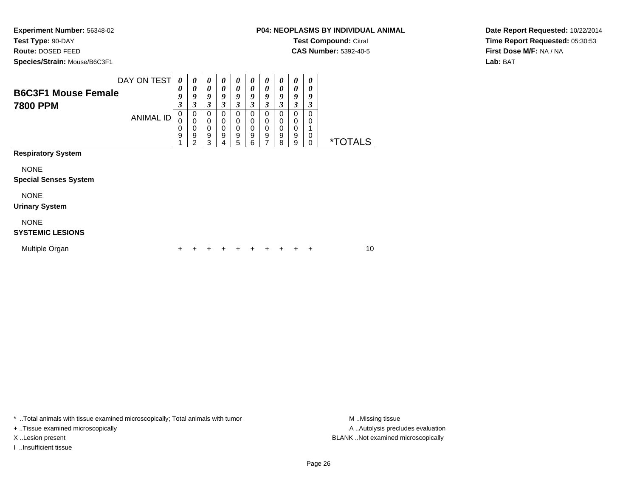**Test Type:** 90-DAY

**Route:** DOSED FEED

**Species/Strain:** Mouse/B6C3F1

**CAS Number:** 5392-40-5

**Date Report Requested:** 10/22/2014**Time Report Requested:** 05:30:53**First Dose M/F:** NA / NA**Lab:** BAT

| <b>B6C3F1 Mouse Female</b><br><b>7800 PPM</b> | DAY ON TEST      | $\boldsymbol{\theta}$<br>0<br>9<br>$\boldsymbol{\beta}$ | 0<br>0<br>9<br>3                | $\boldsymbol{\theta}$<br>0<br>9<br>3      | $\boldsymbol{\theta}$<br>0<br>9<br>3      | 0<br>0<br>9<br>3                | $\boldsymbol{\theta}$<br>$\boldsymbol{\theta}$<br>9<br>3 | 0<br>0<br>9<br>3                | 0<br>0<br>9<br>3      | 0<br>0<br>9<br>3      | 0<br>0<br>9<br>3                |                       |
|-----------------------------------------------|------------------|---------------------------------------------------------|---------------------------------|-------------------------------------------|-------------------------------------------|---------------------------------|----------------------------------------------------------|---------------------------------|-----------------------|-----------------------|---------------------------------|-----------------------|
|                                               | <b>ANIMAL ID</b> | 0<br>$\mathbf 0$<br>0<br>9                              | 0<br>$\mathbf 0$<br>0<br>9<br>2 | 0<br>$\mathbf 0$<br>$\mathbf 0$<br>9<br>3 | 0<br>$\mathbf 0$<br>$\mathbf 0$<br>9<br>4 | 0<br>$\mathbf 0$<br>0<br>9<br>5 | 0<br>$\mathbf 0$<br>$\mathbf 0$<br>9<br>6                | 0<br>0<br>$\mathbf 0$<br>9<br>7 | 0<br>0<br>0<br>9<br>8 | 0<br>0<br>0<br>9<br>9 | 0<br>0<br>1<br>0<br>$\mathbf 0$ | <i><b>*TOTALS</b></i> |
| <b>Respiratory System</b>                     |                  |                                                         |                                 |                                           |                                           |                                 |                                                          |                                 |                       |                       |                                 |                       |
| <b>NONE</b><br><b>Special Senses System</b>   |                  |                                                         |                                 |                                           |                                           |                                 |                                                          |                                 |                       |                       |                                 |                       |
| <b>NONE</b><br><b>Urinary System</b>          |                  |                                                         |                                 |                                           |                                           |                                 |                                                          |                                 |                       |                       |                                 |                       |
| <b>NONE</b><br><b>SYSTEMIC LESIONS</b>        |                  |                                                         |                                 |                                           |                                           |                                 |                                                          |                                 |                       |                       |                                 |                       |
| Multiple Organ                                |                  |                                                         |                                 | ٠                                         | ٠                                         | ٠                               | +                                                        |                                 | ٠                     | +                     | ÷                               | 10                    |

\* ..Total animals with tissue examined microscopically; Total animals with tumor **M** . Missing tissue M ..Missing tissue

+ ..Tissue examined microscopically

I ..Insufficient tissue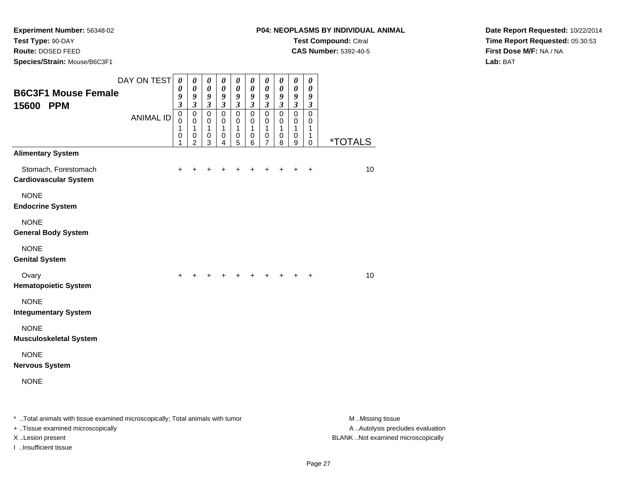**Test Type:** 90-DAY

**Route:** DOSED FEED

**Species/Strain:** Mouse/B6C3F1

**CAS Number:** 5392-40-5

**Date Report Requested:** 10/22/2014**Time Report Requested:** 05:30:53**First Dose M/F:** NA / NA**Lab:** BAT

| <b>B6C3F1 Mouse Female</b><br>15600 PPM                                        | DAY ON TEST      | $\boldsymbol{\theta}$<br>0<br>9<br>$\mathfrak{z}$ | 0<br>$\boldsymbol{\theta}$<br>9<br>$\mathfrak{z}$       | 0<br>$\boldsymbol{\theta}$<br>$\boldsymbol{g}$<br>$\mathfrak{z}$ | $\pmb{\theta}$<br>0<br>9<br>$\mathfrak{z}$ | $\boldsymbol{\theta}$<br>$\boldsymbol{\theta}$<br>9<br>$\mathfrak{z}$ | $\boldsymbol{\theta}$<br>0<br>9<br>$\mathfrak{z}$ | $\boldsymbol{\theta}$<br>0<br>9<br>$\mathfrak{z}$             | 0<br>0<br>9<br>$\mathfrak{z}$   | 0<br>0<br>9<br>$\mathfrak{z}$              | 0<br>0<br>9<br>$\mathfrak{z}$             |                       |
|--------------------------------------------------------------------------------|------------------|---------------------------------------------------|---------------------------------------------------------|------------------------------------------------------------------|--------------------------------------------|-----------------------------------------------------------------------|---------------------------------------------------|---------------------------------------------------------------|---------------------------------|--------------------------------------------|-------------------------------------------|-----------------------|
|                                                                                | <b>ANIMAL ID</b> | $\mathbf 0$<br>0<br>1<br>0<br>1                   | $\mathbf 0$<br>0<br>$\mathbf{1}$<br>0<br>$\overline{2}$ | $\pmb{0}$<br>0<br>$\mathbf{1}$<br>0<br>3                         | $\mathbf 0$<br>0<br>1<br>0<br>4            | $\mathbf 0$<br>0<br>1<br>0<br>5                                       | $\mathbf 0$<br>0<br>1<br>0<br>6                   | $\mathbf 0$<br>0<br>$\mathbf{1}$<br>$\,0\,$<br>$\overline{7}$ | $\mathbf 0$<br>0<br>1<br>0<br>8 | $\mathbf 0$<br>0<br>$\mathbf{1}$<br>0<br>9 | $\mathbf 0$<br>0<br>1<br>1<br>$\mathbf 0$ | <i><b>*TOTALS</b></i> |
| <b>Alimentary System</b>                                                       |                  |                                                   |                                                         |                                                                  |                                            |                                                                       |                                                   |                                                               |                                 |                                            |                                           |                       |
| Stomach, Forestomach<br><b>Cardiovascular System</b>                           |                  | $\ddot{}$                                         |                                                         |                                                                  |                                            |                                                                       |                                                   |                                                               |                                 |                                            | $\ddot{}$                                 | 10                    |
| <b>NONE</b><br><b>Endocrine System</b>                                         |                  |                                                   |                                                         |                                                                  |                                            |                                                                       |                                                   |                                                               |                                 |                                            |                                           |                       |
| <b>NONE</b><br><b>General Body System</b>                                      |                  |                                                   |                                                         |                                                                  |                                            |                                                                       |                                                   |                                                               |                                 |                                            |                                           |                       |
| <b>NONE</b><br><b>Genital System</b>                                           |                  |                                                   |                                                         |                                                                  |                                            |                                                                       |                                                   |                                                               |                                 |                                            |                                           |                       |
| Ovary<br><b>Hematopoietic System</b>                                           |                  | $\ddot{}$                                         |                                                         | ÷.                                                               | $\div$                                     |                                                                       |                                                   |                                                               | $\div$                          | $\ddot{}$                                  | $\ddot{}$                                 | 10                    |
| <b>NONE</b><br><b>Integumentary System</b>                                     |                  |                                                   |                                                         |                                                                  |                                            |                                                                       |                                                   |                                                               |                                 |                                            |                                           |                       |
| <b>NONE</b><br><b>Musculoskeletal System</b>                                   |                  |                                                   |                                                         |                                                                  |                                            |                                                                       |                                                   |                                                               |                                 |                                            |                                           |                       |
| <b>NONE</b><br><b>Nervous System</b>                                           |                  |                                                   |                                                         |                                                                  |                                            |                                                                       |                                                   |                                                               |                                 |                                            |                                           |                       |
| <b>NONE</b>                                                                    |                  |                                                   |                                                         |                                                                  |                                            |                                                                       |                                                   |                                                               |                                 |                                            |                                           |                       |
| * Total animals with tissue examined microscopically: Total animals with tumor |                  |                                                   |                                                         |                                                                  |                                            |                                                                       |                                                   |                                                               |                                 |                                            |                                           | M Missin              |

ned microscopically; Total animals with tumor **Examined microscopically; Total animals with tumor** M ..Missing tissue A ..Autolysis precludes evaluation + ..Tissue examined microscopically X ..Lesion present BLANK ..Not examined microscopicallyI ..Insufficient tissue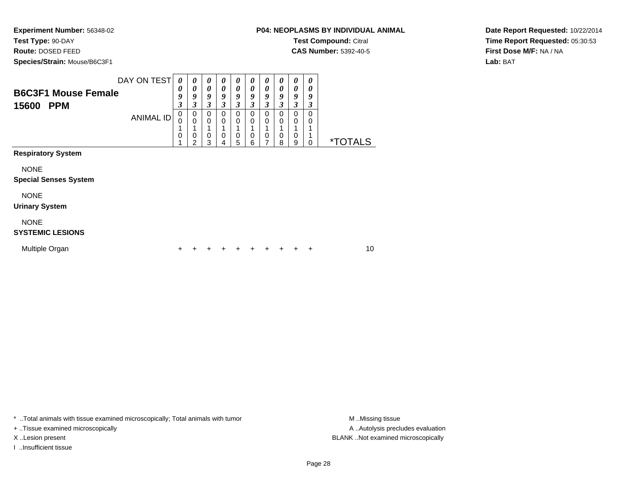**Test Type:** 90-DAY

**Route:** DOSED FEED

**Species/Strain:** Mouse/B6C3F1

**CAS Number:** 5392-40-5

**Date Report Requested:** 10/22/2014**Time Report Requested:** 05:30:53**First Dose M/F:** NA / NA**Lab:** BAT

| <b>B6C3F1 Mouse Female</b><br>15600<br><b>PPM</b>                    | DAY ON TEST<br><b>ANIMAL ID</b> | $\boldsymbol{\theta}$<br>0<br>9<br>3<br>0<br>$\mathbf 0$<br>$\mathbf 0$ | $\boldsymbol{\theta}$<br>0<br>9<br>3<br>0<br>$\mathbf 0$<br>1<br>0<br>2 | 0<br>0<br>9<br>3<br>0<br>0<br>$\mathbf 0$<br>3 | $\boldsymbol{\theta}$<br>0<br>9<br>3<br>0<br>0<br>$\mathbf 0$<br>4 | 0<br>0<br>9<br>3<br>0<br>0<br>$\mathbf 0$<br>5 | $\boldsymbol{\theta}$<br>$\boldsymbol{\theta}$<br>9<br>3<br>0<br>0<br>0<br>6 | 0<br>0<br>9<br>3<br>0<br>0<br>0 | 0<br>0<br>9<br>3<br>0<br>0<br>0<br>8 | 0<br>0<br>9<br>3<br>0<br>0<br>0<br>9 | 0<br>0<br>9<br>3<br>$\Omega$<br>0<br>$\Omega$ | <i><b>*TOTALS</b></i> |    |
|----------------------------------------------------------------------|---------------------------------|-------------------------------------------------------------------------|-------------------------------------------------------------------------|------------------------------------------------|--------------------------------------------------------------------|------------------------------------------------|------------------------------------------------------------------------------|---------------------------------|--------------------------------------|--------------------------------------|-----------------------------------------------|-----------------------|----|
| <b>Respiratory System</b><br><b>NONE</b>                             |                                 |                                                                         |                                                                         |                                                |                                                                    |                                                |                                                                              |                                 |                                      |                                      |                                               |                       |    |
| <b>Special Senses System</b><br><b>NONE</b><br><b>Urinary System</b> |                                 |                                                                         |                                                                         |                                                |                                                                    |                                                |                                                                              |                                 |                                      |                                      |                                               |                       |    |
| <b>NONE</b><br><b>SYSTEMIC LESIONS</b>                               |                                 |                                                                         |                                                                         |                                                |                                                                    |                                                |                                                                              |                                 |                                      |                                      |                                               |                       |    |
| Multiple Organ                                                       |                                 |                                                                         |                                                                         |                                                |                                                                    |                                                |                                                                              |                                 |                                      |                                      | $\div$                                        |                       | 10 |

\* ..Total animals with tissue examined microscopically; Total animals with tumor **M** . Missing tissue M ..Missing tissue

+ ..Tissue examined microscopically

I ..Insufficient tissue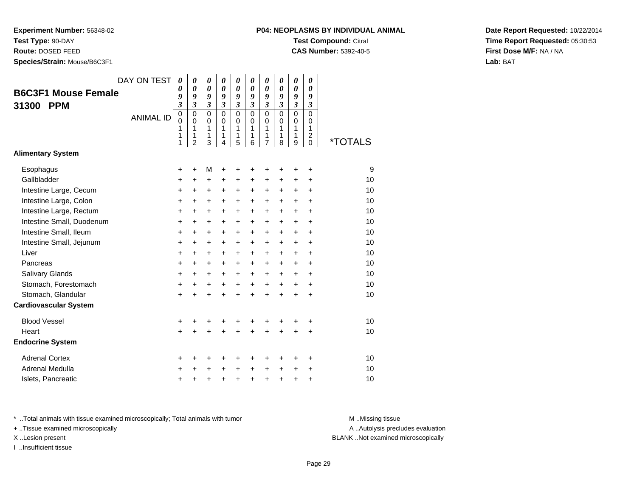**Test Type:** 90-DAY

**Route:** DOSED FEED

**Species/Strain:** Mouse/B6C3F1

### **P04: NEOPLASMS BY INDIVIDUAL ANIMALTest Compound:** Citral

**CAS Number:** 5392-40-5

**Date Report Requested:** 10/22/2014**Time Report Requested:** 05:30:53**First Dose M/F:** NA / NA**Lab:** BAT

| <b>B6C3F1 Mouse Female</b><br><b>PPM</b><br>31300 | DAY ON TEST<br><b>ANIMAL ID</b> | $\boldsymbol{\theta}$<br>0<br>9<br>3<br>$\mathbf 0$<br>$\mathbf 0$<br>1<br>1<br>1 | 0<br>0<br>9<br>3<br>$\mathbf 0$<br>$\mathbf 0$<br>1<br>1<br>$\overline{2}$ | 0<br>$\boldsymbol{\theta}$<br>9<br>$\mathfrak{z}$<br>$\mathbf 0$<br>$\mathbf 0$<br>1<br>1<br>3 | $\boldsymbol{\theta}$<br>$\boldsymbol{\theta}$<br>9<br>$\mathfrak{z}$<br>$\mathbf 0$<br>$\mathbf 0$<br>1<br>1<br>4 | 0<br>$\boldsymbol{\theta}$<br>9<br>$\boldsymbol{\beta}$<br>$\mathbf 0$<br>$\mathbf 0$<br>1<br>1<br>5 | 0<br>0<br>9<br>$\mathfrak{z}$<br>$\mathbf 0$<br>$\Omega$<br>1<br>$\mathbf{1}$<br>6 | 0<br>$\boldsymbol{\theta}$<br>9<br>$\mathfrak{z}$<br>$\mathbf 0$<br>$\mathbf 0$<br>1<br>1<br>$\overline{7}$ | 0<br>$\boldsymbol{\theta}$<br>9<br>$\mathfrak{z}$<br>$\mathbf 0$<br>$\Omega$<br>1<br>1<br>8 | 0<br>$\boldsymbol{\theta}$<br>9<br>$\boldsymbol{\beta}$<br>$\mathbf 0$<br>$\mathbf 0$<br>1<br>1<br>9 | 0<br>0<br>9<br>3<br>$\mathbf 0$<br>0<br>1<br>$\overline{c}$<br>$\mathbf 0$ | <i><b>*TOTALS</b></i> |
|---------------------------------------------------|---------------------------------|-----------------------------------------------------------------------------------|----------------------------------------------------------------------------|------------------------------------------------------------------------------------------------|--------------------------------------------------------------------------------------------------------------------|------------------------------------------------------------------------------------------------------|------------------------------------------------------------------------------------|-------------------------------------------------------------------------------------------------------------|---------------------------------------------------------------------------------------------|------------------------------------------------------------------------------------------------------|----------------------------------------------------------------------------|-----------------------|
| <b>Alimentary System</b>                          |                                 |                                                                                   |                                                                            |                                                                                                |                                                                                                                    |                                                                                                      |                                                                                    |                                                                                                             |                                                                                             |                                                                                                      |                                                                            |                       |
| Esophagus                                         |                                 | +                                                                                 | $\ddot{}$                                                                  | M                                                                                              | +                                                                                                                  | +                                                                                                    | +                                                                                  | +                                                                                                           | +                                                                                           | +                                                                                                    | +                                                                          | 9                     |
| Gallbladder                                       |                                 | +                                                                                 | +                                                                          | +                                                                                              | +                                                                                                                  | +                                                                                                    | +                                                                                  | +                                                                                                           | +                                                                                           | +                                                                                                    | +                                                                          | 10                    |
| Intestine Large, Cecum                            |                                 | +                                                                                 | $\ddot{}$                                                                  | +                                                                                              | +                                                                                                                  | +                                                                                                    | +                                                                                  | +                                                                                                           | $\ddot{}$                                                                                   | +                                                                                                    | $\ddot{}$                                                                  | 10                    |
| Intestine Large, Colon                            |                                 | +                                                                                 | +                                                                          | $\ddot{}$                                                                                      | $\ddot{}$                                                                                                          | $\ddot{}$                                                                                            | $\ddot{}$                                                                          | $\ddot{}$                                                                                                   | $\ddot{}$                                                                                   | $\ddot{}$                                                                                            | $\ddot{}$                                                                  | 10                    |
| Intestine Large, Rectum                           |                                 | +                                                                                 | $\ddot{}$                                                                  | +                                                                                              | $\ddot{}$                                                                                                          | $\ddot{}$                                                                                            | +                                                                                  | $\ddot{}$                                                                                                   | $\ddot{}$                                                                                   | $\ddot{}$                                                                                            | $\ddot{}$                                                                  | 10                    |
| Intestine Small, Duodenum                         |                                 | +                                                                                 | +                                                                          | +                                                                                              | +                                                                                                                  | +                                                                                                    | +                                                                                  | +                                                                                                           | +                                                                                           | $\ddot{}$                                                                                            | +                                                                          | 10                    |
| Intestine Small, Ileum                            |                                 | +                                                                                 | $\ddot{}$                                                                  | $\ddot{}$                                                                                      | $\ddot{}$                                                                                                          | $\ddot{}$                                                                                            | $\ddot{}$                                                                          | $\ddot{}$                                                                                                   | $\ddot{}$                                                                                   | $\ddot{}$                                                                                            | $\ddot{}$                                                                  | 10                    |
| Intestine Small, Jejunum                          |                                 | $\ddot{}$                                                                         | +                                                                          | +                                                                                              | $\ddot{}$                                                                                                          | $\ddot{}$                                                                                            | $\ddot{}$                                                                          | $+$                                                                                                         | $\ddot{}$                                                                                   | $\ddot{}$                                                                                            | $\ddot{}$                                                                  | 10                    |
| Liver                                             |                                 | +                                                                                 | +                                                                          | $\ddot{}$                                                                                      | $\ddot{}$                                                                                                          | $\ddot{}$                                                                                            | +                                                                                  | $\ddot{}$                                                                                                   | +                                                                                           | $\ddot{}$                                                                                            | $\ddot{}$                                                                  | 10                    |
| Pancreas                                          |                                 | +                                                                                 | +                                                                          | $\ddot{}$                                                                                      | $\ddot{}$                                                                                                          | $\ddot{}$                                                                                            | $\ddot{}$                                                                          | $\ddot{}$                                                                                                   | $\ddot{}$                                                                                   | $\ddot{}$                                                                                            | $\ddot{}$                                                                  | 10                    |
| Salivary Glands                                   |                                 | $\ddot{}$                                                                         | $\ddot{}$                                                                  | +                                                                                              | $\ddot{}$                                                                                                          | $\ddot{}$                                                                                            | $\ddot{}$                                                                          | $\ddot{}$                                                                                                   | $\ddot{}$                                                                                   | $\ddot{}$                                                                                            | $\ddot{}$                                                                  | 10                    |
| Stomach, Forestomach                              |                                 | +                                                                                 | +                                                                          | +                                                                                              | $\ddot{}$                                                                                                          | $\ddot{}$                                                                                            | +                                                                                  | $\ddot{}$                                                                                                   | $\ddot{}$                                                                                   | $\ddot{}$                                                                                            | +                                                                          | 10                    |
| Stomach, Glandular                                |                                 | +                                                                                 | +                                                                          | +                                                                                              | +                                                                                                                  | $\ddot{}$                                                                                            | $\ddot{}$                                                                          | $\ddot{}$                                                                                                   | $\ddot{}$                                                                                   | $\ddot{}$                                                                                            | $\ddot{}$                                                                  | 10                    |
| <b>Cardiovascular System</b>                      |                                 |                                                                                   |                                                                            |                                                                                                |                                                                                                                    |                                                                                                      |                                                                                    |                                                                                                             |                                                                                             |                                                                                                      |                                                                            |                       |
| <b>Blood Vessel</b>                               |                                 | +                                                                                 | +                                                                          | +                                                                                              | +                                                                                                                  | +                                                                                                    | +                                                                                  | +                                                                                                           | +                                                                                           | +                                                                                                    | +                                                                          | 10                    |
| Heart                                             |                                 | $\ddot{}$                                                                         |                                                                            | +                                                                                              |                                                                                                                    |                                                                                                      |                                                                                    | $\ddot{}$                                                                                                   | ÷                                                                                           |                                                                                                      | $\ddot{}$                                                                  | 10                    |
| <b>Endocrine System</b>                           |                                 |                                                                                   |                                                                            |                                                                                                |                                                                                                                    |                                                                                                      |                                                                                    |                                                                                                             |                                                                                             |                                                                                                      |                                                                            |                       |
| <b>Adrenal Cortex</b>                             |                                 | +                                                                                 | +                                                                          | +                                                                                              | +                                                                                                                  | +                                                                                                    | +                                                                                  | +                                                                                                           | ٠                                                                                           | +                                                                                                    | $\ddot{}$                                                                  | 10                    |
| Adrenal Medulla                                   |                                 | +                                                                                 | +                                                                          | +                                                                                              | $\ddot{}$                                                                                                          | $\ddot{}$                                                                                            | $\ddot{}$                                                                          | $\ddot{}$                                                                                                   | $\ddot{}$                                                                                   | $\ddot{}$                                                                                            | ÷                                                                          | 10                    |
| Islets, Pancreatic                                |                                 | +                                                                                 | +                                                                          | +                                                                                              | +                                                                                                                  | $\ddot{}$                                                                                            | $\ddot{}$                                                                          | $\ddot{}$                                                                                                   | $\ddot{}$                                                                                   | +                                                                                                    | +                                                                          | 10                    |

\* ..Total animals with tissue examined microscopically; Total animals with tumor **M** . Missing tissue M ..Missing tissue

+ ..Tissue examined microscopically

I ..Insufficient tissue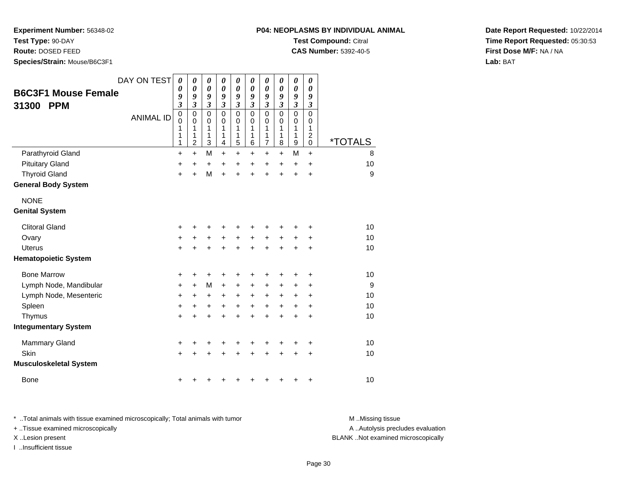**Test Type:** 90-DAY

**Route:** DOSED FEED

**Species/Strain:** Mouse/B6C3F1

| <b>B6C3F1 Mouse Female</b><br><b>PPM</b><br>31300 | DAY ON TEST<br><b>ANIMAL ID</b> | 0<br>0<br>9<br>3<br>0<br>0<br>1<br>1<br>1 | 0<br>$\boldsymbol{\theta}$<br>9<br>$\boldsymbol{\beta}$<br>$\mathbf 0$<br>$\mathbf 0$<br>$\mathbf{1}$<br>1<br>$\overline{2}$ | 0<br>$\boldsymbol{\theta}$<br>9<br>$\boldsymbol{\beta}$<br>$\mathbf 0$<br>0<br>1<br>1<br>3 | 0<br>$\boldsymbol{\theta}$<br>9<br>$\boldsymbol{\beta}$<br>$\mathbf 0$<br>0<br>1<br>1<br>4 | 0<br>0<br>9<br>$\boldsymbol{\mathfrak{z}}$<br>0<br>0<br>1<br>1<br>5 | 0<br>0<br>9<br>3<br>$\pmb{0}$<br>0<br>1<br>1<br>6 | 0<br>0<br>9<br>$\boldsymbol{\beta}$<br>$\mathbf 0$<br>0<br>1<br>1<br>$\overline{7}$ | 0<br>0<br>9<br>$\mathfrak{z}$<br>$\pmb{0}$<br>0<br>1<br>1<br>8 | 0<br>$\boldsymbol{\theta}$<br>9<br>$\boldsymbol{\beta}$<br>$\pmb{0}$<br>0<br>1<br>1<br>9 | 0<br>0<br>9<br>3<br>$\Omega$<br>0<br>1<br>$\overline{c}$<br>$\Omega$ | <i><b>*TOTALS</b></i> |  |
|---------------------------------------------------|---------------------------------|-------------------------------------------|------------------------------------------------------------------------------------------------------------------------------|--------------------------------------------------------------------------------------------|--------------------------------------------------------------------------------------------|---------------------------------------------------------------------|---------------------------------------------------|-------------------------------------------------------------------------------------|----------------------------------------------------------------|------------------------------------------------------------------------------------------|----------------------------------------------------------------------|-----------------------|--|
| Parathyroid Gland                                 |                                 | $\ddot{}$                                 | $\ddot{}$                                                                                                                    | M                                                                                          | $\ddot{}$                                                                                  | $\ddot{}$                                                           | $\ddot{}$                                         | $\ddot{}$                                                                           | $+$                                                            | M                                                                                        | $\ddot{}$                                                            | 8                     |  |
| <b>Pituitary Gland</b>                            |                                 | $\ddot{}$                                 | $\ddot{}$                                                                                                                    | $\ddot{}$                                                                                  | $\ddot{}$                                                                                  | $\ddot{}$                                                           | $\ddot{}$                                         | $\ddot{}$                                                                           | $\ddot{}$                                                      | $\ddot{}$                                                                                | $\ddot{}$                                                            | 10                    |  |
| <b>Thyroid Gland</b>                              |                                 | $\ddot{}$                                 | $\ddot{}$                                                                                                                    | M                                                                                          | $\ddot{}$                                                                                  | $\ddot{}$                                                           | $\ddot{}$                                         | $\ddot{}$                                                                           | $\ddot{}$                                                      | $\ddot{}$                                                                                | $\ddot{}$                                                            | 9                     |  |
| <b>General Body System</b>                        |                                 |                                           |                                                                                                                              |                                                                                            |                                                                                            |                                                                     |                                                   |                                                                                     |                                                                |                                                                                          |                                                                      |                       |  |
| <b>NONE</b><br><b>Genital System</b>              |                                 |                                           |                                                                                                                              |                                                                                            |                                                                                            |                                                                     |                                                   |                                                                                     |                                                                |                                                                                          |                                                                      |                       |  |
| <b>Clitoral Gland</b>                             |                                 | +                                         |                                                                                                                              |                                                                                            | +                                                                                          |                                                                     |                                                   |                                                                                     |                                                                | ٠                                                                                        | ٠                                                                    | 10                    |  |
| Ovary                                             |                                 | $\ddot{}$                                 | +                                                                                                                            | $\ddot{}$                                                                                  | $\ddot{}$                                                                                  | $+$                                                                 | +                                                 | $\ddot{}$                                                                           | $\ddot{}$                                                      | $\ddot{}$                                                                                | +                                                                    | 10                    |  |
| <b>Uterus</b>                                     |                                 | $\ddot{}$                                 | $\ddot{}$                                                                                                                    |                                                                                            | $\ddot{}$                                                                                  | $\ddot{}$                                                           | $\ddot{}$                                         | $\ddot{}$                                                                           | $\ddot{}$                                                      | $\ddot{}$                                                                                | $\ddot{}$                                                            | 10                    |  |
| <b>Hematopoietic System</b>                       |                                 |                                           |                                                                                                                              |                                                                                            |                                                                                            |                                                                     |                                                   |                                                                                     |                                                                |                                                                                          |                                                                      |                       |  |
| <b>Bone Marrow</b>                                |                                 | +                                         | +                                                                                                                            | +                                                                                          | +                                                                                          | +                                                                   | +                                                 |                                                                                     | +                                                              | +                                                                                        | +                                                                    | 10                    |  |
| Lymph Node, Mandibular                            |                                 | +                                         | $\ddot{}$                                                                                                                    | M                                                                                          | +                                                                                          | +                                                                   | +                                                 | $\ddot{}$                                                                           | +                                                              | $\ddot{}$                                                                                | +                                                                    | 9                     |  |
| Lymph Node, Mesenteric                            |                                 | +                                         | $\ddot{}$                                                                                                                    | $\ddot{}$                                                                                  | $\ddot{}$                                                                                  | $+$                                                                 | $\ddot{}$                                         | $\ddot{}$                                                                           | +                                                              | $\ddot{}$                                                                                | $\ddot{}$                                                            | 10                    |  |
| Spleen                                            |                                 | +                                         | +                                                                                                                            | ÷                                                                                          | $\ddot{}$                                                                                  | $\ddot{}$                                                           | +                                                 | $\ddot{}$                                                                           | $\ddot{}$                                                      | $\ddot{}$                                                                                | +                                                                    | 10                    |  |
| Thymus                                            |                                 | +                                         | +                                                                                                                            |                                                                                            | +                                                                                          | +                                                                   | +                                                 | +                                                                                   | +                                                              | +                                                                                        | +                                                                    | 10                    |  |
| <b>Integumentary System</b>                       |                                 |                                           |                                                                                                                              |                                                                                            |                                                                                            |                                                                     |                                                   |                                                                                     |                                                                |                                                                                          |                                                                      |                       |  |

**Date Report Requested:** 10/22/2014**Time Report Requested:** 05:30:53**First Dose M/F:** NA / NA**Lab:** BAT

\* ..Total animals with tissue examined microscopically; Total animals with tumor **M** ...Missing tissue M ...Missing tissue + ..Tissue examined microscopically X ..Lesion present BLANK ..Not examined microscopically

I ..Insufficient tissue

Mammary Gland

**Musculoskeletal System**

Skin

Bone

d  $+$ 

n  $+$ 

 $e$  +

A .. Autolysis precludes evaluation

<sup>+</sup> <sup>+</sup> <sup>+</sup> <sup>+</sup> <sup>+</sup> <sup>+</sup> <sup>+</sup> <sup>+</sup> <sup>+</sup> <sup>10</sup>

<sup>+</sup> <sup>+</sup> <sup>+</sup> <sup>+</sup> <sup>+</sup> <sup>+</sup> <sup>+</sup> <sup>+</sup> <sup>+</sup> <sup>10</sup>

<sup>+</sup> <sup>+</sup> <sup>+</sup> <sup>+</sup> <sup>+</sup> <sup>+</sup> <sup>+</sup> <sup>+</sup> <sup>+</sup> <sup>10</sup>

**P04: NEOPLASMS BY INDIVIDUAL ANIMALTest Compound:** Citral **CAS Number:** 5392-40-5